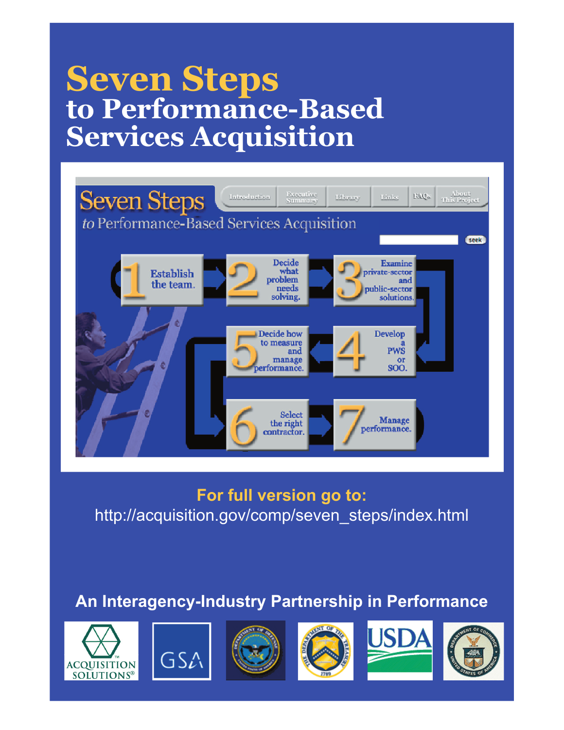# **Seven Steps to Performance-Based Services Acquisition**



**For full version go to:** http://acquisition.gov/comp/seven\_steps/index.html

## **An Interagency-Industry Partnership in Performance**













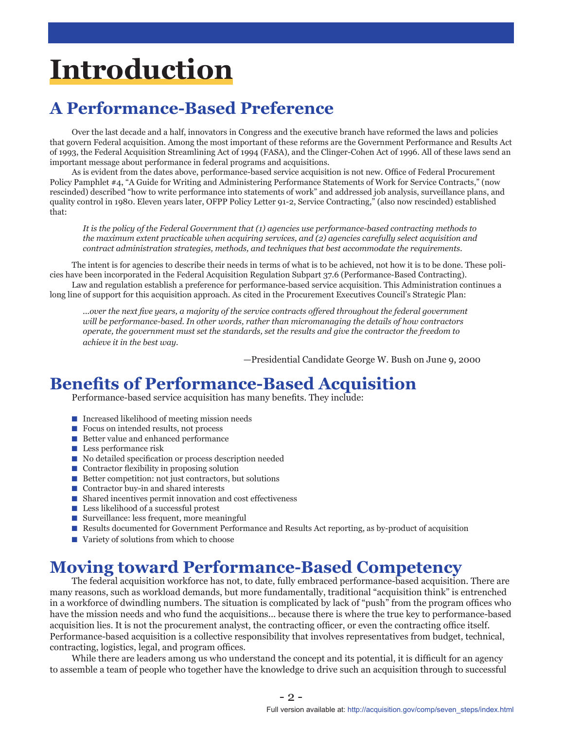# **Introduction**

#### **A Performance-Based Preference**

Over the last decade and a half, innovators in Congress and the executive branch have reformed the laws and policies that govern Federal acquisition. Among the most important of these reforms are the Government Performance and Results Act of 1993, the Federal Acquisition Streamlining Act of 1994 (FASA), and the Clinger-Cohen Act of 1996. All of these laws send an important message about performance in federal programs and acquisitions.

As is evident from the dates above, performance-based service acquisition is not new. Office of Federal Procurement Policy Pamphlet #4, "A Guide for Writing and Administering Performance Statements of Work for Service Contracts," (now rescinded) described "how to write performance into statements of work" and addressed job analysis, surveillance plans, and quality control in 1980. Eleven years later, OFPP Policy Letter 91-2, Service Contracting," (also now rescinded) established that:

*It is the policy of the Federal Government that (1) agencies use performance-based contracting methods to the maximum extent practicable when acquiring services, and (2) agencies carefully select acquisition and contract administration strategies, methods, and techniques that best accommodate the requirements.*

The intent is for agencies to describe their needs in terms of what is to be achieved, not how it is to be done. These policies have been incorporated in the Federal Acquisition Regulation Subpart 37.6 (Performance-Based Contracting). Law and regulation establish a preference for performance-based service acquisition. This Administration continues a long line of support for this acquisition approach. As cited in the Procurement Executives Council's Strategic Plan:

*...over the next five years, a majority of the service contracts offered throughout the federal government will be performance-based. In other words, rather than micromanaging the details of how contractors operate, the government must set the standards, set the results and give the contractor the freedom to achieve it in the best way.* 

—Presidential Candidate George W. Bush on June 9, 2000

#### **Benefits of Performance-Based Acquisition**

Performance-based service acquisition has many benefits. They include:

- Increased likelihood of meeting mission needs
- Focus on intended results, not process
- Better value and enhanced performance
- Less performance risk
- No detailed specification or process description needed
- Contractor flexibility in proposing solution
- Better competition: not just contractors, but solutions
- Contractor buy-in and shared interests
- Shared incentives permit innovation and cost effectiveness
- Less likelihood of a successful protest
- Surveillance: less frequent, more meaningful
- Results documented for Government Performance and Results Act reporting, as by-product of acquisition
- Variety of solutions from which to choose

#### **Moving toward Performance-Based Competency**

The federal acquisition workforce has not, to date, fully embraced performance-based acquisition. There are many reasons, such as workload demands, but more fundamentally, traditional "acquisition think" is entrenched in a workforce of dwindling numbers. The situation is complicated by lack of "push" from the program offices who have the mission needs and who fund the acquisitions... because there is where the true key to performance-based acquisition lies. It is not the procurement analyst, the contracting officer, or even the contracting office itself. Performance-based acquisition is a collective responsibility that involves representatives from budget, technical, contracting, logistics, legal, and program offices.

While there are leaders among us who understand the concept and its potential, it is difficult for an agency to assemble a team of people who together have the knowledge to drive such an acquisition through to successful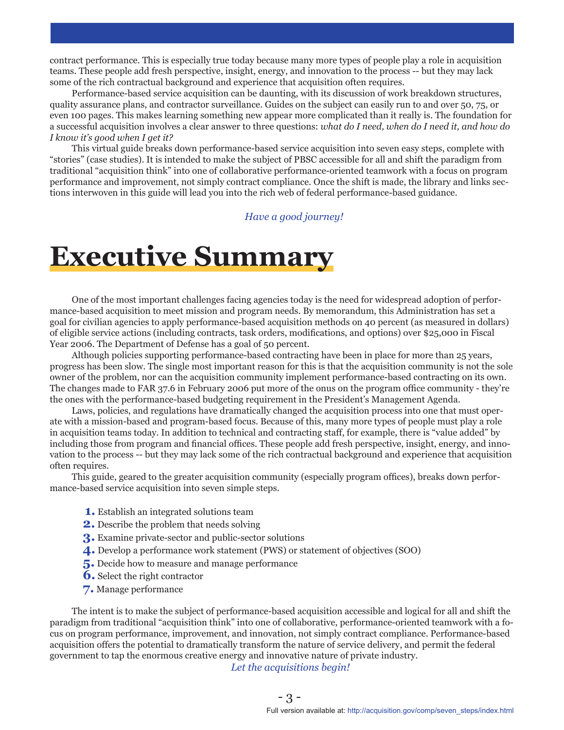contract performance. This is especially true today because many more types of people play a role in acquisition teams. These people add fresh perspective, insight, energy, and innovation to the process -- but they may lack some of the rich contractual background and experience that acquisition often requires.

Performance-based service acquisition can be daunting, with its discussion of work breakdown structures, quality assurance plans, and contractor surveillance. Guides on the subject can easily run to and over 50, 75, or even 100 pages. This makes learning something new appear more complicated than it really is. The foundation for a successful acquisition involves a clear answer to three questions: *what do I need, when do I need it, and how do I know it's good when I get it?*

This virtual guide breaks down performance-based service acquisition into seven easy steps, complete with "stories" (case studies). It is intended to make the subject of PBSC accessible for all and shift the paradigm from traditional "acquisition think" into one of collaborative performance-oriented teamwork with a focus on program performance and improvement, not simply contract compliance. Once the shift is made, the library and links sections interwoven in this guide will lead you into the rich web of federal performance-based guidance.

#### *Have a good journey!*

# **Executive Summary**

One of the most important challenges facing agencies today is the need for widespread adoption of performance-based acquisition to meet mission and program needs. By memorandum, this Administration has set a goal for civilian agencies to apply performance-based acquisition methods on 40 percent (as measured in dollars) of eligible service actions (including contracts, task orders, modifications, and options) over \$25,000 in Fiscal Year 2006. The Department of Defense has a goal of 50 percent.

Although policies supporting performance-based contracting have been in place for more than 25 years, progress has been slow. The single most important reason for this is that the acquisition community is not the sole owner of the problem, nor can the acquisition community implement performance-based contracting on its own. The changes made to FAR 37.6 in February 2006 put more of the onus on the program office community - they're the ones with the performance-based budgeting requirement in the President's Management Agenda.

Laws, policies, and regulations have dramatically changed the acquisition process into one that must operate with a mission-based and program-based focus. Because of this, many more types of people must play a role in acquisition teams today. In addition to technical and contracting staff, for example, there is "value added" by including those from program and financial offices. These people add fresh perspective, insight, energy, and innovation to the process -- but they may lack some of the rich contractual background and experience that acquisition often requires.

This guide, geared to the greater acquisition community (especially program offices), breaks down performance-based service acquisition into seven simple steps.

- **1.** Establish an integrated solutions team
- **2.** Describe the problem that needs solving
- **3.** Examine private-sector and public-sector solutions
- **4.** Develop a performance work statement (PWS) or statement of objectives (SOO)
- **5.** Decide how to measure and manage performance
- **6.** Select the right contractor
- **7.** Manage performance

The intent is to make the subject of performance-based acquisition accessible and logical for all and shift the paradigm from traditional "acquisition think" into one of collaborative, performance-oriented teamwork with a focus on program performance, improvement, and innovation, not simply contract compliance. Performance-based acquisition offers the potential to dramatically transform the nature of service delivery, and permit the federal government to tap the enormous creative energy and innovative nature of private industry.

*Let the acquisitions begin!*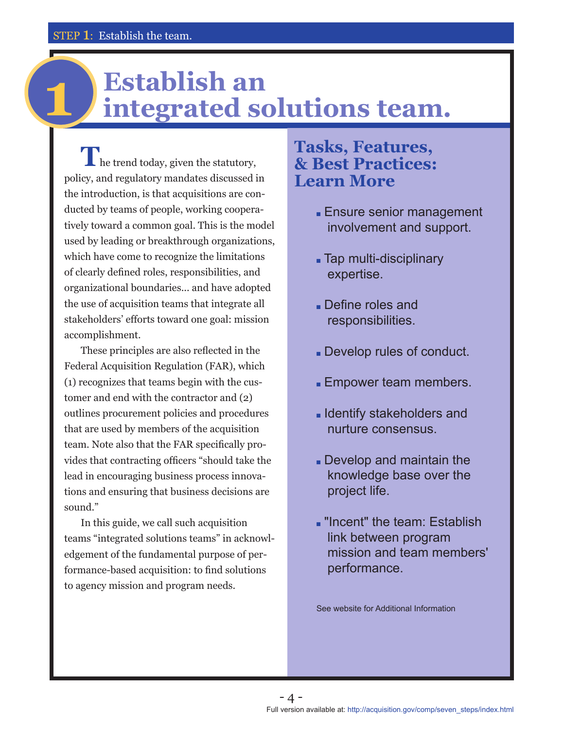**1**

# **Establish an integrated solutions team.**

**T**he trend today, given the statutory, policy, and regulatory mandates discussed in the introduction, is that acquisitions are conducted by teams of people, working cooperatively toward a common goal. This is the model used by leading or breakthrough organizations, which have come to recognize the limitations of clearly defined roles, responsibilities, and organizational boundaries... and have adopted the use of acquisition teams that integrate all stakeholders' efforts toward one goal: mission accomplishment.

These principles are also reflected in the Federal Acquisition Regulation (FAR), which (1) recognizes that teams begin with the customer and end with the contractor and (2) outlines procurement policies and procedures that are used by members of the acquisition team. Note also that the FAR specifically provides that contracting officers "should take the lead in encouraging business process innovations and ensuring that business decisions are sound."

In this guide, we call such acquisition teams "integrated solutions teams" in acknowledgement of the fundamental purpose of performance-based acquisition: to find solutions to agency mission and program needs.

#### **Tasks, Features, & Best Practices: Learn More**

- Ensure senior management involvement and support.
- Tap multi-disciplinary expertise.
- Define roles and responsibilities.
- Develop rules of conduct.
- Empower team members.
- Identify stakeholders and nurture consensus.
- Develop and maintain the knowledge base over the project life.
- "Incent" the team: Establish link between program mission and team members' performance.

See website for Additional Information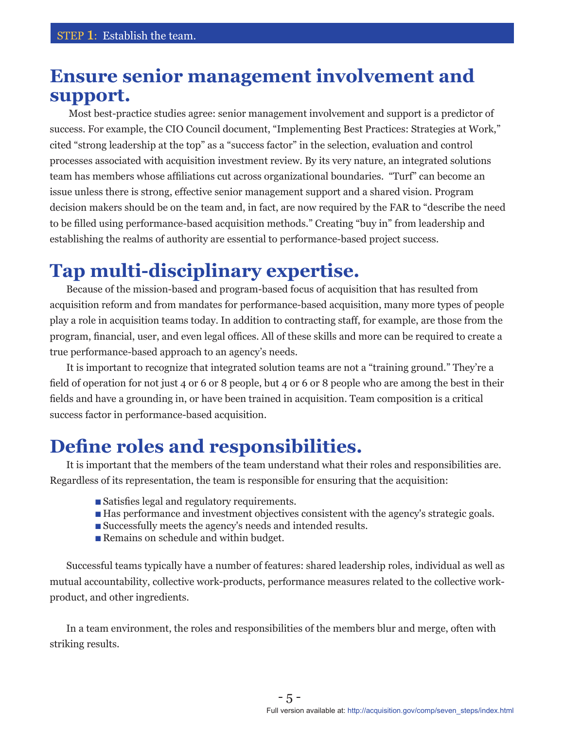# **Ensure senior management involvement and support.**

 Most best-practice studies agree: senior management involvement and support is a predictor of success. For example, the CIO Council document, "Implementing Best Practices: Strategies at Work," cited "strong leadership at the top" as a "success factor" in the selection, evaluation and control processes associated with acquisition investment review. By its very nature, an integrated solutions team has members whose affiliations cut across organizational boundaries. "Turf" can become an issue unless there is strong, effective senior management support and a shared vision. Program decision makers should be on the team and, in fact, are now required by the FAR to "describe the need to be filled using performance-based acquisition methods." Creating "buy in" from leadership and establishing the realms of authority are essential to performance-based project success.

# **Tap multi-disciplinary expertise.**

Because of the mission-based and program-based focus of acquisition that has resulted from acquisition reform and from mandates for performance-based acquisition, many more types of people play a role in acquisition teams today. In addition to contracting staff, for example, are those from the program, financial, user, and even legal offices. All of these skills and more can be required to create a true performance-based approach to an agency's needs.

It is important to recognize that integrated solution teams are not a "training ground." They're a field of operation for not just 4 or 6 or 8 people, but 4 or 6 or 8 people who are among the best in their fields and have a grounding in, or have been trained in acquisition. Team composition is a critical success factor in performance-based acquisition.

# **Define roles and responsibilities.**

It is important that the members of the team understand what their roles and responsibilities are. Regardless of its representation, the team is responsible for ensuring that the acquisition:

- Satisfies legal and regulatory requirements.
- Has performance and investment objectives consistent with the agency's strategic goals.
- Successfully meets the agency's needs and intended results.
- Remains on schedule and within budget.

Successful teams typically have a number of features: shared leadership roles, individual as well as mutual accountability, collective work-products, performance measures related to the collective workproduct, and other ingredients.

In a team environment, the roles and responsibilities of the members blur and merge, often with striking results.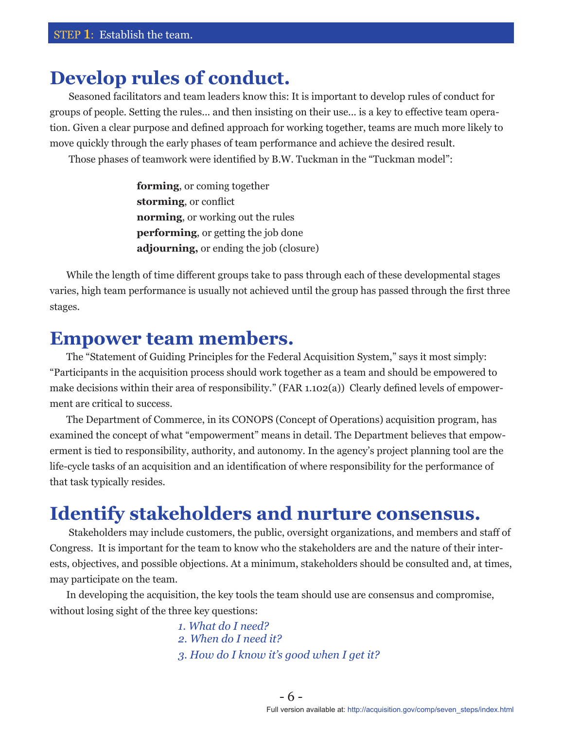### **Develop rules of conduct.**

 Seasoned facilitators and team leaders know this: It is important to develop rules of conduct for groups of people. Setting the rules... and then insisting on their use... is a key to effective team operation. Given a clear purpose and defined approach for working together, teams are much more likely to move quickly through the early phases of team performance and achieve the desired result.

Those phases of teamwork were identified by B.W. Tuckman in the "Tuckman model":

**forming**, or coming together **storming**, or conflict **norming**, or working out the rules **performing**, or getting the job done **adjourning,** or ending the job (closure)

While the length of time different groups take to pass through each of these developmental stages varies, high team performance is usually not achieved until the group has passed through the first three stages.

#### **Empower team members.**

The "Statement of Guiding Principles for the Federal Acquisition System," says it most simply: "Participants in the acquisition process should work together as a team and should be empowered to make decisions within their area of responsibility." (FAR 1.102(a)) Clearly defined levels of empowerment are critical to success.

The Department of Commerce, in its CONOPS (Concept of Operations) acquisition program, has examined the concept of what "empowerment" means in detail. The Department believes that empowerment is tied to responsibility, authority, and autonomy. In the agency's project planning tool are the life-cycle tasks of an acquisition and an identification of where responsibility for the performance of that task typically resides.

# **Identify stakeholders and nurture consensus.**

 Stakeholders may include customers, the public, oversight organizations, and members and staff of Congress. It is important for the team to know who the stakeholders are and the nature of their interests, objectives, and possible objections. At a minimum, stakeholders should be consulted and, at times, may participate on the team.

In developing the acquisition, the key tools the team should use are consensus and compromise, without losing sight of the three key questions:

> *1. What do I need? 2. When do I need it? 3. How do I know it's good when I get it?*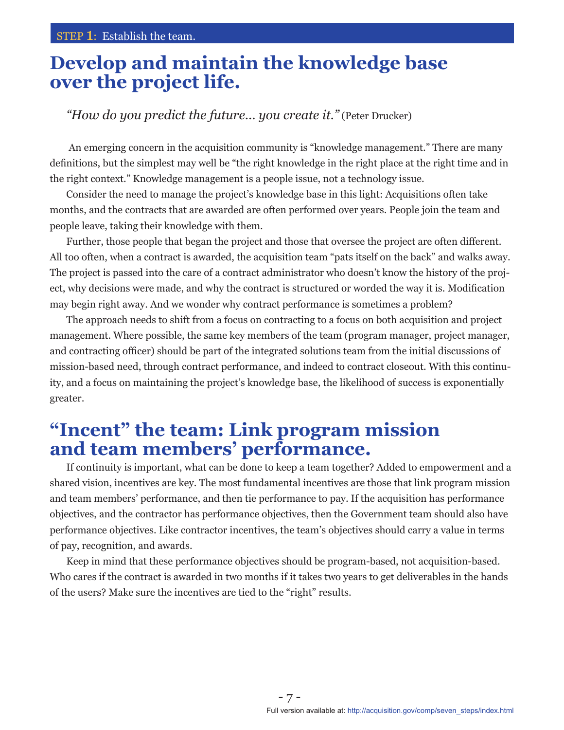# **Develop and maintain the knowledge base over the project life.**

#### *"How do you predict the future... you create it."* (Peter Drucker)

 An emerging concern in the acquisition community is "knowledge management." There are many definitions, but the simplest may well be "the right knowledge in the right place at the right time and in the right context." Knowledge management is a people issue, not a technology issue.

Consider the need to manage the project's knowledge base in this light: Acquisitions often take months, and the contracts that are awarded are often performed over years. People join the team and people leave, taking their knowledge with them.

Further, those people that began the project and those that oversee the project are often different. All too often, when a contract is awarded, the acquisition team "pats itself on the back" and walks away. The project is passed into the care of a contract administrator who doesn't know the history of the project, why decisions were made, and why the contract is structured or worded the way it is. Modification may begin right away. And we wonder why contract performance is sometimes a problem?

The approach needs to shift from a focus on contracting to a focus on both acquisition and project management. Where possible, the same key members of the team (program manager, project manager, and contracting officer) should be part of the integrated solutions team from the initial discussions of mission-based need, through contract performance, and indeed to contract closeout. With this continuity, and a focus on maintaining the project's knowledge base, the likelihood of success is exponentially greater.

## **"Incent" the team: Link program mission and team members' performance.**

If continuity is important, what can be done to keep a team together? Added to empowerment and a shared vision, incentives are key. The most fundamental incentives are those that link program mission and team members' performance, and then tie performance to pay. If the acquisition has performance objectives, and the contractor has performance objectives, then the Government team should also have performance objectives. Like contractor incentives, the team's objectives should carry a value in terms of pay, recognition, and awards.

Keep in mind that these performance objectives should be program-based, not acquisition-based. Who cares if the contract is awarded in two months if it takes two years to get deliverables in the hands of the users? Make sure the incentives are tied to the "right" results.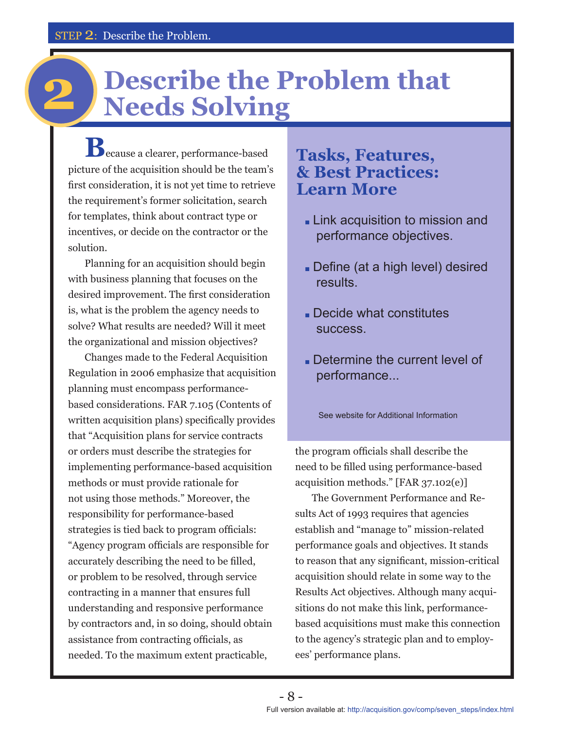**2**

# **Describe the Problem that Needs Solving**

**B**ecause a clearer, performance-based picture of the acquisition should be the team's first consideration, it is not yet time to retrieve the requirement's former solicitation, search for templates, think about contract type or incentives, or decide on the contractor or the solution.

Planning for an acquisition should begin with business planning that focuses on the desired improvement. The first consideration is, what is the problem the agency needs to solve? What results are needed? Will it meet the organizational and mission objectives?

Changes made to the Federal Acquisition Regulation in 2006 emphasize that acquisition planning must encompass performancebased considerations. FAR 7.105 (Contents of written acquisition plans) specifically provides that "Acquisition plans for service contracts or orders must describe the strategies for implementing performance-based acquisition methods or must provide rationale for not using those methods." Moreover, the responsibility for performance-based strategies is tied back to program officials: "Agency program officials are responsible for accurately describing the need to be filled, or problem to be resolved, through service contracting in a manner that ensures full understanding and responsive performance by contractors and, in so doing, should obtain assistance from contracting officials, as needed. To the maximum extent practicable,

#### **Tasks, Features, & Best Practices: Learn More**

- Link acquisition to mission and performance objectives.
- Define (at a high level) desired results.
- Decide what constitutes success.
- Determine the current level of performance...

See website for Additional Information

the program officials shall describe the need to be filled using performance-based acquisition methods." [FAR 37.102(e)]

The Government Performance and Results Act of 1993 requires that agencies establish and "manage to" mission-related performance goals and objectives. It stands to reason that any significant, mission-critical acquisition should relate in some way to the Results Act objectives. Although many acquisitions do not make this link, performancebased acquisitions must make this connection to the agency's strategic plan and to employees' performance plans.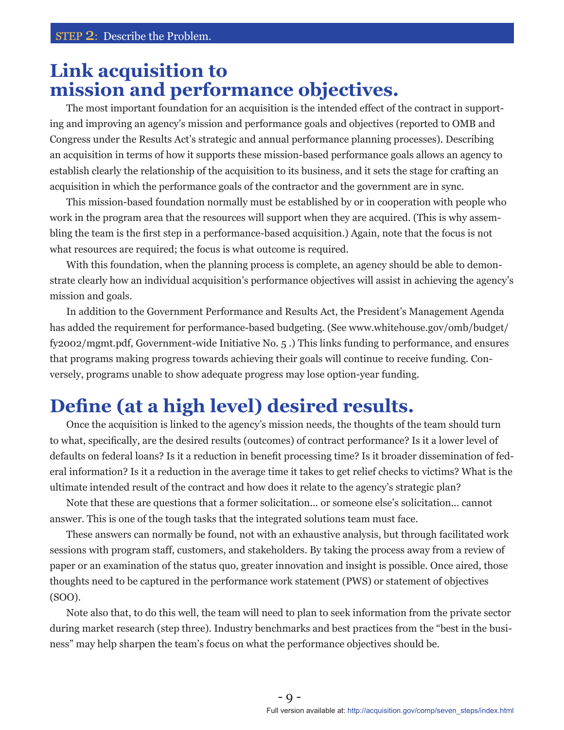### **Link acquisition to mission and performance objectives.**

The most important foundation for an acquisition is the intended effect of the contract in supporting and improving an agency's mission and performance goals and objectives (reported to OMB and Congress under the Results Act's strategic and annual performance planning processes). Describing an acquisition in terms of how it supports these mission-based performance goals allows an agency to establish clearly the relationship of the acquisition to its business, and it sets the stage for crafting an acquisition in which the performance goals of the contractor and the government are in sync.

This mission-based foundation normally must be established by or in cooperation with people who work in the program area that the resources will support when they are acquired. (This is why assembling the team is the first step in a performance-based acquisition.) Again, note that the focus is not what resources are required; the focus is what outcome is required.

With this foundation, when the planning process is complete, an agency should be able to demonstrate clearly how an individual acquisition's performance objectives will assist in achieving the agency's mission and goals.

In addition to the Government Performance and Results Act, the President's Management Agenda has added the requirement for performance-based budgeting. (See www.whitehouse.gov/omb/budget/ fy2002/mgmt.pdf, Government-wide Initiative No. 5 .) This links funding to performance, and ensures that programs making progress towards achieving their goals will continue to receive funding. Conversely, programs unable to show adequate progress may lose option-year funding.

# **Define (at a high level) desired results.**

Once the acquisition is linked to the agency's mission needs, the thoughts of the team should turn to what, specifically, are the desired results (outcomes) of contract performance? Is it a lower level of defaults on federal loans? Is it a reduction in benefit processing time? Is it broader dissemination of federal information? Is it a reduction in the average time it takes to get relief checks to victims? What is the ultimate intended result of the contract and how does it relate to the agency's strategic plan?

Note that these are questions that a former solicitation... or someone else's solicitation... cannot answer. This is one of the tough tasks that the integrated solutions team must face.

These answers can normally be found, not with an exhaustive analysis, but through facilitated work sessions with program staff, customers, and stakeholders. By taking the process away from a review of paper or an examination of the status quo, greater innovation and insight is possible. Once aired, those thoughts need to be captured in the performance work statement (PWS) or statement of objectives (SOO).

Note also that, to do this well, the team will need to plan to seek information from the private sector during market research (step three). Industry benchmarks and best practices from the "best in the business" may help sharpen the team's focus on what the performance objectives should be.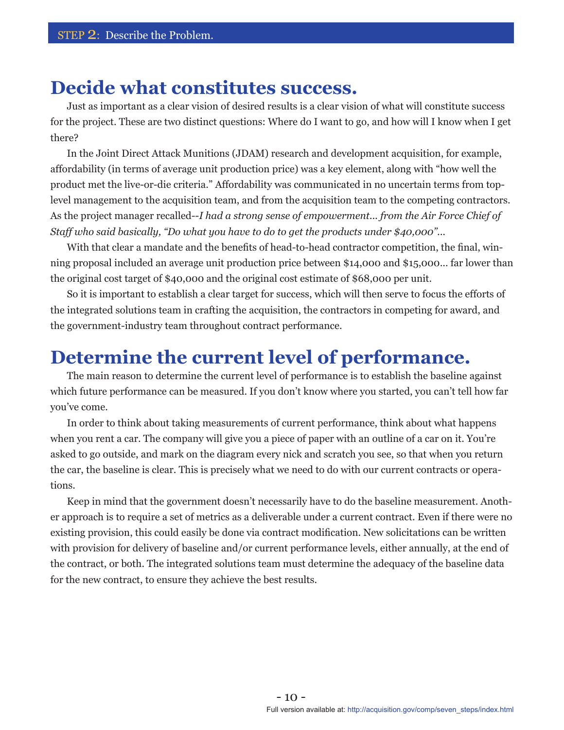#### **Decide what constitutes success.**

Just as important as a clear vision of desired results is a clear vision of what will constitute success for the project. These are two distinct questions: Where do I want to go, and how will I know when I get there?

In the Joint Direct Attack Munitions (JDAM) research and development acquisition, for example, affordability (in terms of average unit production price) was a key element, along with "how well the product met the live-or-die criteria." Affordability was communicated in no uncertain terms from toplevel management to the acquisition team, and from the acquisition team to the competing contractors. As the project manager recalled--*I had a strong sense of empowerment... from the Air Force Chief of Staff who said basically, "Do what you have to do to get the products under \$40,000"...*

With that clear a mandate and the benefits of head-to-head contractor competition, the final, winning proposal included an average unit production price between \$14,000 and \$15,000... far lower than the original cost target of \$40,000 and the original cost estimate of \$68,000 per unit.

So it is important to establish a clear target for success, which will then serve to focus the efforts of the integrated solutions team in crafting the acquisition, the contractors in competing for award, and the government-industry team throughout contract performance.

### **Determine the current level of performance.**

The main reason to determine the current level of performance is to establish the baseline against which future performance can be measured. If you don't know where you started, you can't tell how far you've come.

In order to think about taking measurements of current performance, think about what happens when you rent a car. The company will give you a piece of paper with an outline of a car on it. You're asked to go outside, and mark on the diagram every nick and scratch you see, so that when you return the car, the baseline is clear. This is precisely what we need to do with our current contracts or operations.

Keep in mind that the government doesn't necessarily have to do the baseline measurement. Another approach is to require a set of metrics as a deliverable under a current contract. Even if there were no existing provision, this could easily be done via contract modification. New solicitations can be written with provision for delivery of baseline and/or current performance levels, either annually, at the end of the contract, or both. The integrated solutions team must determine the adequacy of the baseline data for the new contract, to ensure they achieve the best results.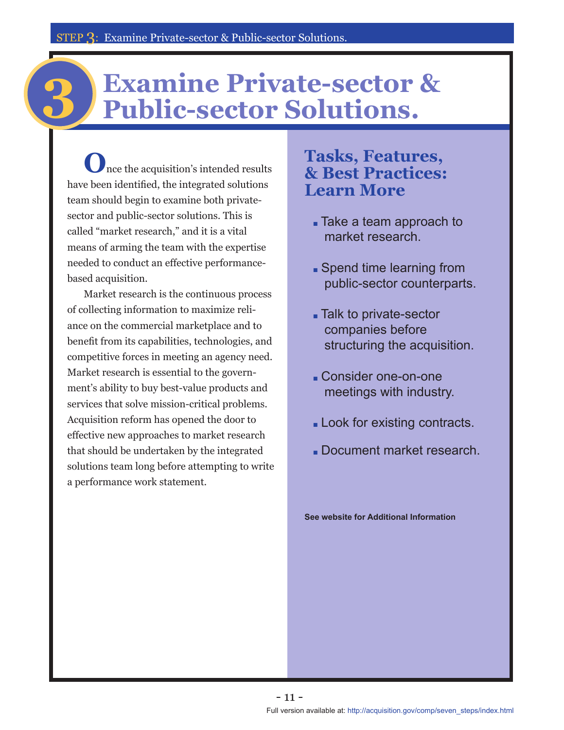# **Examine Private-sector & Public-sector Solutions.**

**O**nce the acquisition's intended results have been identified, the integrated solutions team should begin to examine both privatesector and public-sector solutions. This is called "market research," and it is a vital means of arming the team with the expertise needed to conduct an effective performancebased acquisition.

**3**

Market research is the continuous process of collecting information to maximize reliance on the commercial marketplace and to benefit from its capabilities, technologies, and competitive forces in meeting an agency need. Market research is essential to the government's ability to buy best-value products and services that solve mission-critical problems. Acquisition reform has opened the door to effective new approaches to market research that should be undertaken by the integrated solutions team long before attempting to write a performance work statement.

#### **Tasks, Features, & Best Practices: Learn More**

- Take a team approach to market research.
- Spend time learning from public-sector counterparts.
- Talk to private-sector companies before structuring the acquisition.
- Consider one-on-one meetings with industry.
- Look for existing contracts.
- Document market research.

**See website for Additional Information**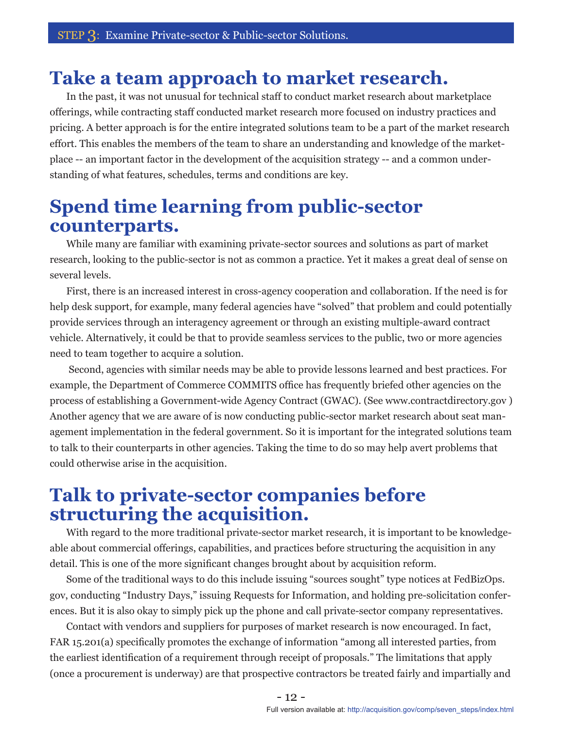### **Take a team approach to market research.**

In the past, it was not unusual for technical staff to conduct market research about marketplace offerings, while contracting staff conducted market research more focused on industry practices and pricing. A better approach is for the entire integrated solutions team to be a part of the market research effort. This enables the members of the team to share an understanding and knowledge of the marketplace -- an important factor in the development of the acquisition strategy -- and a common understanding of what features, schedules, terms and conditions are key.

### **Spend time learning from public-sector counterparts.**

While many are familiar with examining private-sector sources and solutions as part of market research, looking to the public-sector is not as common a practice. Yet it makes a great deal of sense on several levels.

First, there is an increased interest in cross-agency cooperation and collaboration. If the need is for help desk support, for example, many federal agencies have "solved" that problem and could potentially provide services through an interagency agreement or through an existing multiple-award contract vehicle. Alternatively, it could be that to provide seamless services to the public, two or more agencies need to team together to acquire a solution.

 Second, agencies with similar needs may be able to provide lessons learned and best practices. For example, the Department of Commerce COMMITS office has frequently briefed other agencies on the process of establishing a Government-wide Agency Contract (GWAC). (See www.contractdirectory.gov ) Another agency that we are aware of is now conducting public-sector market research about seat management implementation in the federal government. So it is important for the integrated solutions team to talk to their counterparts in other agencies. Taking the time to do so may help avert problems that could otherwise arise in the acquisition.

#### **Talk to private-sector companies before structuring the acquisition.**

With regard to the more traditional private-sector market research, it is important to be knowledgeable about commercial offerings, capabilities, and practices before structuring the acquisition in any detail. This is one of the more significant changes brought about by acquisition reform.

Some of the traditional ways to do this include issuing "sources sought" type notices at FedBizOps. gov, conducting "Industry Days," issuing Requests for Information, and holding pre-solicitation conferences. But it is also okay to simply pick up the phone and call private-sector company representatives.

Contact with vendors and suppliers for purposes of market research is now encouraged. In fact, FAR 15.201(a) specifically promotes the exchange of information "among all interested parties, from the earliest identification of a requirement through receipt of proposals." The limitations that apply (once a procurement is underway) are that prospective contractors be treated fairly and impartially and

> - 12 - Full version available at: http://acquisition.gov/comp/seven\_steps/index.html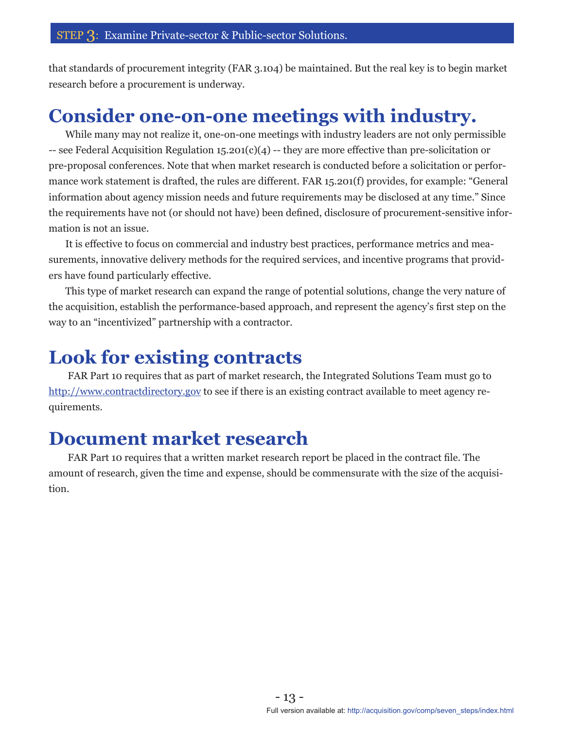that standards of procurement integrity (FAR 3.104) be maintained. But the real key is to begin market research before a procurement is underway.

# **Consider one-on-one meetings with industry.**

While many may not realize it, one-on-one meetings with industry leaders are not only permissible  $\sim$  see Federal Acquisition Regulation 15.201(c)(4)  $\sim$  they are more effective than pre-solicitation or pre-proposal conferences. Note that when market research is conducted before a solicitation or performance work statement is drafted, the rules are different. FAR 15.201(f) provides, for example: "General information about agency mission needs and future requirements may be disclosed at any time." Since the requirements have not (or should not have) been defined, disclosure of procurement-sensitive information is not an issue.

It is effective to focus on commercial and industry best practices, performance metrics and measurements, innovative delivery methods for the required services, and incentive programs that providers have found particularly effective.

This type of market research can expand the range of potential solutions, change the very nature of the acquisition, establish the performance-based approach, and represent the agency's first step on the way to an "incentivized" partnership with a contractor.

### **Look for existing contracts**

 FAR Part 10 requires that as part of market research, the Integrated Solutions Team must go to http://www.contractdirectory.gov to see if there is an existing contract available to meet agency requirements.

#### **Document market research**

 FAR Part 10 requires that a written market research report be placed in the contract file. The amount of research, given the time and expense, should be commensurate with the size of the acquisition.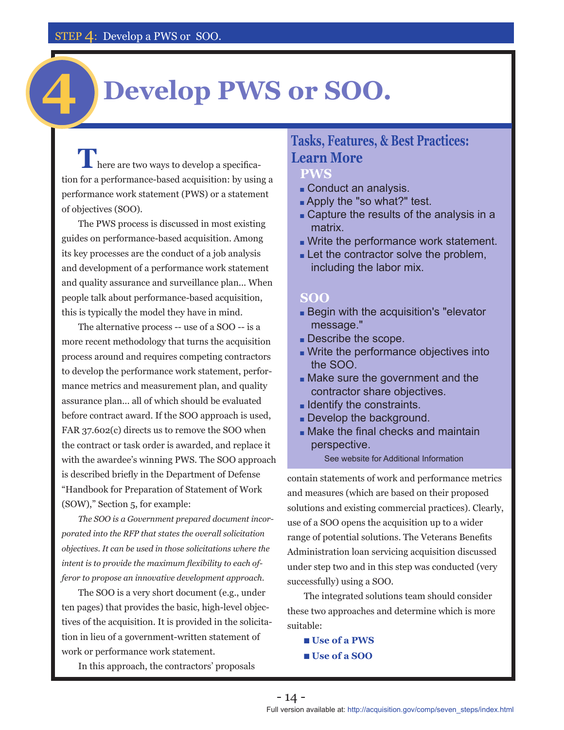**4**

# **Develop PWS or SOO.**

**T**here are two ways to develop a specification for a performance-based acquisition: by using a performance work statement (PWS) or a statement of objectives (SOO).

The PWS process is discussed in most existing guides on performance-based acquisition. Among its key processes are the conduct of a job analysis and development of a performance work statement and quality assurance and surveillance plan... When people talk about performance-based acquisition, this is typically the model they have in mind.

The alternative process -- use of a SOO -- is a more recent methodology that turns the acquisition process around and requires competing contractors to develop the performance work statement, performance metrics and measurement plan, and quality assurance plan... all of which should be evaluated before contract award. If the SOO approach is used, FAR 37.602(c) directs us to remove the SOO when the contract or task order is awarded, and replace it with the awardee's winning PWS. The SOO approach is described briefly in the Department of Defense "Handbook for Preparation of Statement of Work (SOW)," Section 5, for example:

*The SOO is a Government prepared document incorporated into the RFP that states the overall solicitation objectives. It can be used in those solicitations where the intent is to provide the maximum flexibility to each offeror to propose an innovative development approach.*

The SOO is a very short document (e.g., under ten pages) that provides the basic, high-level objectives of the acquisition. It is provided in the solicitation in lieu of a government-written statement of work or performance work statement.

In this approach, the contractors' proposals

#### **Tasks, Features, & Best Practices: Learn More**

#### **PWS**

- Conduct an analysis.
- Apply the "so what?" test.
- Capture the results of the analysis in a matrix.
- Write the performance work statement.
- Let the contractor solve the problem, including the labor mix.

#### **SOO**

- Begin with the acquisition's "elevator message."
- Describe the scope.
- Write the performance objectives into the SOO.
- Make sure the government and the contractor share objectives.
- Identify the constraints.
- Develop the background.
- Make the final checks and maintain perspective.

See website for Additional Information

contain statements of work and performance metrics and measures (which are based on their proposed solutions and existing commercial practices). Clearly, use of a SOO opens the acquisition up to a wider range of potential solutions. The Veterans Benefits Administration loan servicing acquisition discussed under step two and in this step was conducted (very successfully) using a SOO.

The integrated solutions team should consider these two approaches and determine which is more suitable:

■*<u>Use of a PWS</u>* ■*<u>Use of a SOO</u>*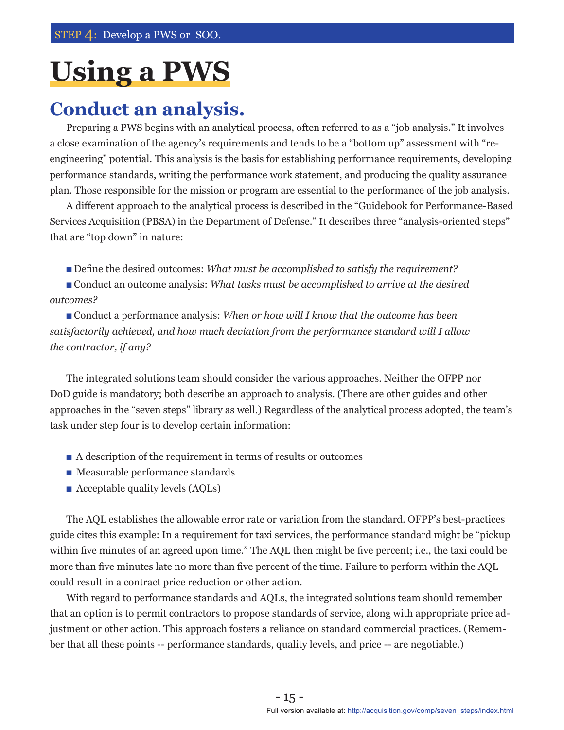# **Using a PWS**

## **Conduct an analysis.**

Preparing a PWS begins with an analytical process, often referred to as a "job analysis." It involves a close examination of the agency's requirements and tends to be a "bottom up" assessment with "reengineering" potential. This analysis is the basis for establishing performance requirements, developing performance standards, writing the performance work statement, and producing the quality assurance plan. Those responsible for the mission or program are essential to the performance of the job analysis.

A different approach to the analytical process is described in the "Guidebook for Performance-Based Services Acquisition (PBSA) in the Department of Defense." It describes three "analysis-oriented steps" that are "top down" in nature:

■ Define the desired outcomes: *What must be accomplished to satisfy the requirement?* 

■ Conduct an outcome analysis: *What tasks must be accomplished to arrive at the desired outcomes?*

■ Conduct a performance analysis: *When or how will I know that the outcome has been satisfactorily achieved, and how much deviation from the performance standard will I allow the contractor, if any?* 

The integrated solutions team should consider the various approaches. Neither the OFPP nor DoD guide is mandatory; both describe an approach to analysis. (There are other guides and other approaches in the "seven steps" library as well.) Regardless of the analytical process adopted, the team's task under step four is to develop certain information:

- A description of the requirement in terms of results or outcomes
- Measurable performance standards
- Acceptable quality levels (AQLs)

The AQL establishes the allowable error rate or variation from the standard. OFPP's best-practices guide cites this example: In a requirement for taxi services, the performance standard might be "pickup within five minutes of an agreed upon time." The AQL then might be five percent; i.e., the taxi could be more than five minutes late no more than five percent of the time. Failure to perform within the AQL could result in a contract price reduction or other action.

With regard to performance standards and AQLs, the integrated solutions team should remember that an option is to permit contractors to propose standards of service, along with appropriate price adjustment or other action. This approach fosters a reliance on standard commercial practices. (Remember that all these points -- performance standards, quality levels, and price -- are negotiable.)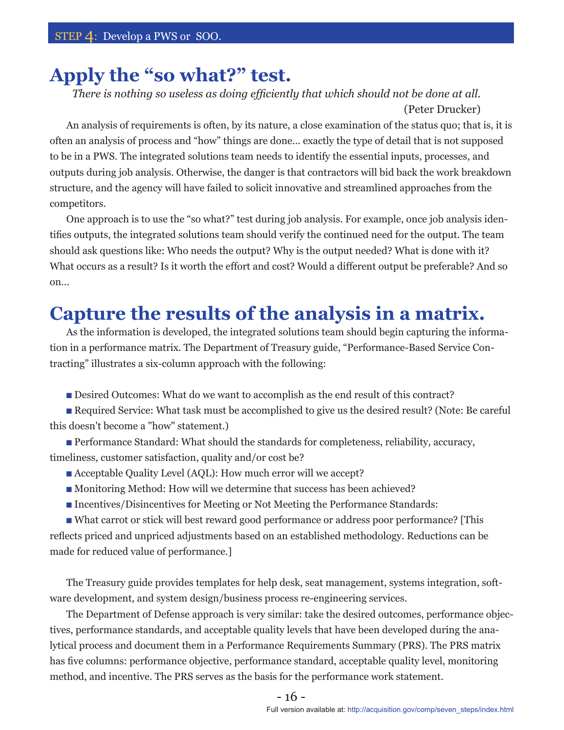## **Apply the "so what?" test.**

 *There is nothing so useless as doing efficiently that which should not be done at all.*  (Peter Drucker)

An analysis of requirements is often, by its nature, a close examination of the status quo; that is, it is often an analysis of process and "how" things are done... exactly the type of detail that is not supposed to be in a PWS. The integrated solutions team needs to identify the essential inputs, processes, and outputs during job analysis. Otherwise, the danger is that contractors will bid back the work breakdown structure, and the agency will have failed to solicit innovative and streamlined approaches from the competitors.

One approach is to use the "so what?" test during job analysis. For example, once job analysis identifies outputs, the integrated solutions team should verify the continued need for the output. The team should ask questions like: Who needs the output? Why is the output needed? What is done with it? What occurs as a result? Is it worth the effort and cost? Would a different output be preferable? And so on...

# **Capture the results of the analysis in a matrix.**

As the information is developed, the integrated solutions team should begin capturing the information in a performance matrix. The Department of Treasury guide, "Performance-Based Service Contracting" illustrates a six-column approach with the following:

■ Desired Outcomes: What do we want to accomplish as the end result of this contract?

■ Required Service: What task must be accomplished to give us the desired result? (Note: Be careful this doesn't become a "how" statement.)

■ Performance Standard: What should the standards for completeness, reliability, accuracy, timeliness, customer satisfaction, quality and/or cost be?

- Acceptable Quality Level (AQL): How much error will we accept?
- Monitoring Method: How will we determine that success has been achieved?
- Incentives/Disincentives for Meeting or Not Meeting the Performance Standards:

■ What carrot or stick will best reward good performance or address poor performance? [This reflects priced and unpriced adjustments based on an established methodology. Reductions can be made for reduced value of performance.]

The Treasury guide provides templates for help desk, seat management, systems integration, software development, and system design/business process re-engineering services.

The Department of Defense approach is very similar: take the desired outcomes, performance objectives, performance standards, and acceptable quality levels that have been developed during the analytical process and document them in a Performance Requirements Summary (PRS). The PRS matrix has five columns: performance objective, performance standard, acceptable quality level, monitoring method, and incentive. The PRS serves as the basis for the performance work statement.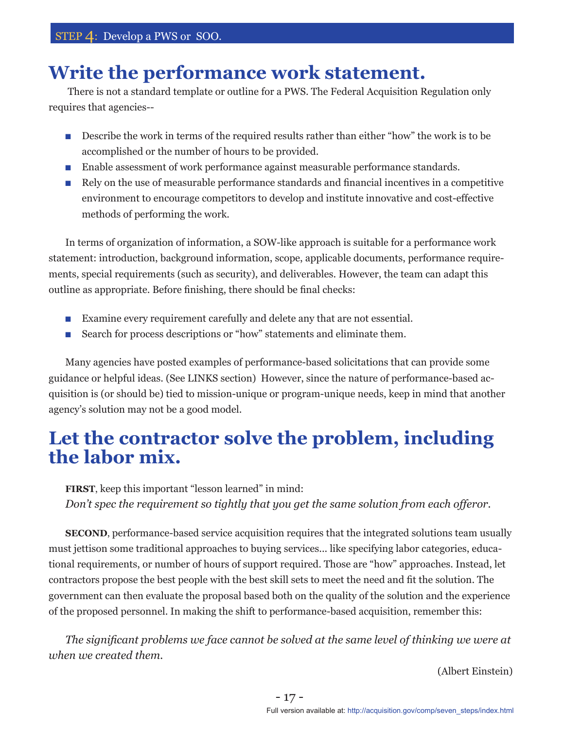# **Write the performance work statement.**

 There is not a standard template or outline for a PWS. The Federal Acquisition Regulation only requires that agencies--

- Describe the work in terms of the required results rather than either "how" the work is to be accomplished or the number of hours to be provided.
- Enable assessment of work performance against measurable performance standards.
- Rely on the use of measurable performance standards and financial incentives in a competitive environment to encourage competitors to develop and institute innovative and cost-effective methods of performing the work.

In terms of organization of information, a SOW-like approach is suitable for a performance work statement: introduction, background information, scope, applicable documents, performance requirements, special requirements (such as security), and deliverables. However, the team can adapt this outline as appropriate. Before finishing, there should be final checks:

- Examine every requirement carefully and delete any that are not essential.
- Search for process descriptions or "how" statements and eliminate them.

Many agencies have posted examples of performance-based solicitations that can provide some guidance or helpful ideas. (See LINKS section) However, since the nature of performance-based acquisition is (or should be) tied to mission-unique or program-unique needs, keep in mind that another agency's solution may not be a good model.

# **Let the contractor solve the problem, including the labor mix.**

**FIRST**, keep this important "lesson learned" in mind: *Don't spec the requirement so tightly that you get the same solution from each offeror.* 

**SECOND**, performance-based service acquisition requires that the integrated solutions team usually must jettison some traditional approaches to buying services... like specifying labor categories, educational requirements, or number of hours of support required. Those are "how" approaches. Instead, let contractors propose the best people with the best skill sets to meet the need and fit the solution. The government can then evaluate the proposal based both on the quality of the solution and the experience of the proposed personnel. In making the shift to performance-based acquisition, remember this:

*The significant problems we face cannot be solved at the same level of thinking we were at when we created them.* 

(Albert Einstein)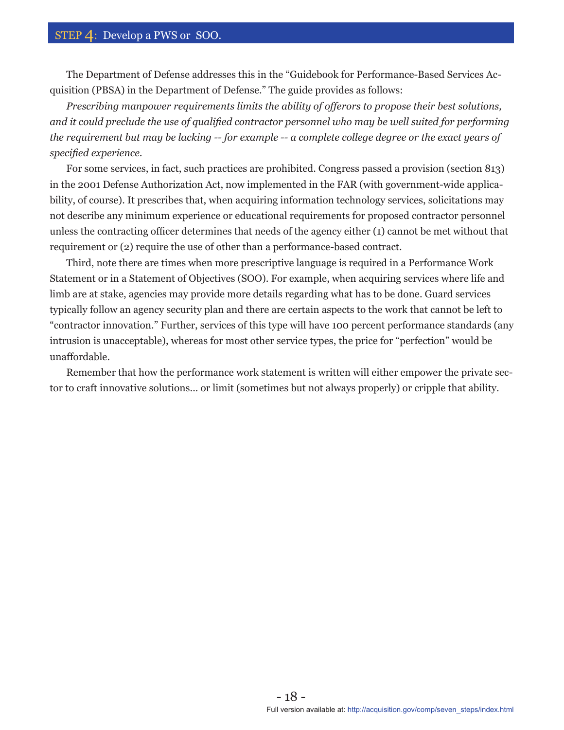The Department of Defense addresses this in the "Guidebook for Performance-Based Services Acquisition (PBSA) in the Department of Defense." The guide provides as follows:

*Prescribing manpower requirements limits the ability of offerors to propose their best solutions, and it could preclude the use of qualified contractor personnel who may be well suited for performing the requirement but may be lacking -- for example -- a complete college degree or the exact years of specified experience.*

For some services, in fact, such practices are prohibited. Congress passed a provision (section 813) in the 2001 Defense Authorization Act, now implemented in the FAR (with government-wide applicability, of course). It prescribes that, when acquiring information technology services, solicitations may not describe any minimum experience or educational requirements for proposed contractor personnel unless the contracting officer determines that needs of the agency either (1) cannot be met without that requirement or (2) require the use of other than a performance-based contract.

Third, note there are times when more prescriptive language is required in a Performance Work Statement or in a Statement of Objectives (SOO). For example, when acquiring services where life and limb are at stake, agencies may provide more details regarding what has to be done. Guard services typically follow an agency security plan and there are certain aspects to the work that cannot be left to "contractor innovation." Further, services of this type will have 100 percent performance standards (any intrusion is unacceptable), whereas for most other service types, the price for "perfection" would be unaffordable.

Remember that how the performance work statement is written will either empower the private sector to craft innovative solutions... or limit (sometimes but not always properly) or cripple that ability.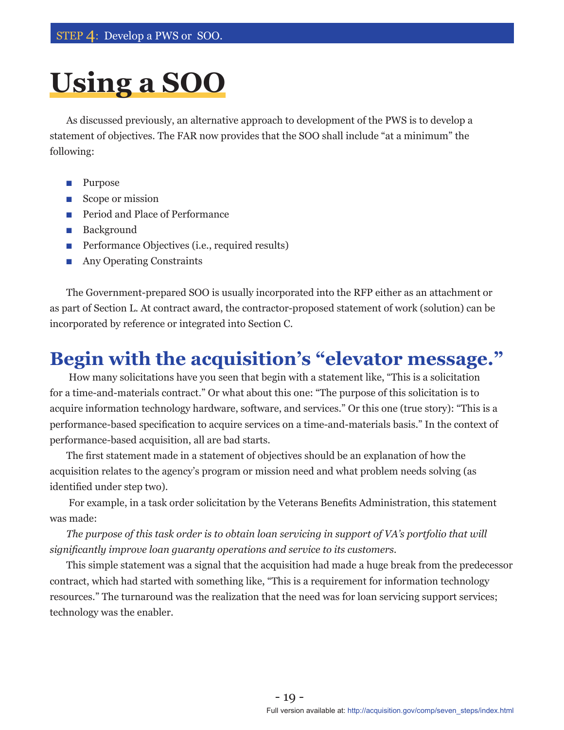# **Using a SOO**

As discussed previously, an alternative approach to development of the PWS is to develop a statement of objectives. The FAR now provides that the SOO shall include "at a minimum" the following:

- Purpose
- Scope or mission
- Period and Place of Performance
- Background
- Performance Objectives (*i.e.*, required results)
- Any Operating Constraints

The Government-prepared SOO is usually incorporated into the RFP either as an attachment or as part of Section L. At contract award, the contractor-proposed statement of work (solution) can be incorporated by reference or integrated into Section C.

# **Begin with the acquisition's "elevator message."**

 How many solicitations have you seen that begin with a statement like, "This is a solicitation for a time-and-materials contract." Or what about this one: "The purpose of this solicitation is to acquire information technology hardware, software, and services." Or this one (true story): "This is a performance-based specification to acquire services on a time-and-materials basis." In the context of performance-based acquisition, all are bad starts.

The first statement made in a statement of objectives should be an explanation of how the acquisition relates to the agency's program or mission need and what problem needs solving (as identified under step two).

 For example, in a task order solicitation by the Veterans Benefits Administration, this statement was made:

*The purpose of this task order is to obtain loan servicing in support of VA's portfolio that will significantly improve loan guaranty operations and service to its customers.*

This simple statement was a signal that the acquisition had made a huge break from the predecessor contract, which had started with something like, "This is a requirement for information technology resources." The turnaround was the realization that the need was for loan servicing support services; technology was the enabler.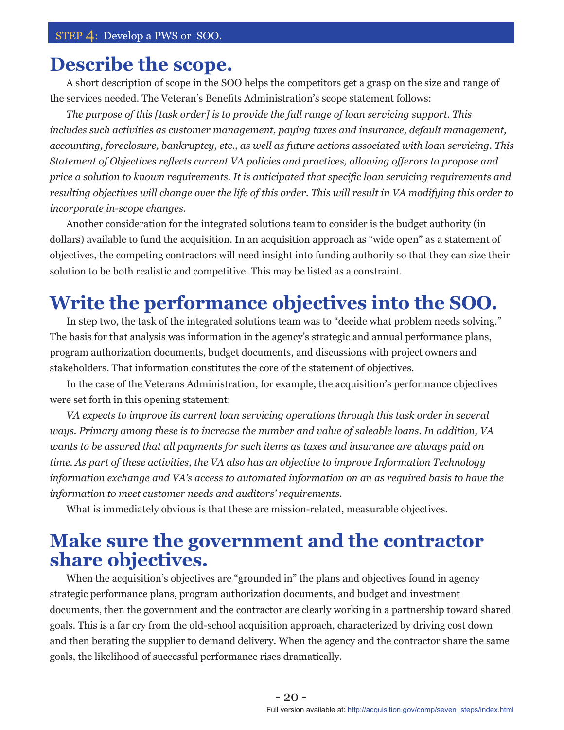### **Describe the scope.**

A short description of scope in the SOO helps the competitors get a grasp on the size and range of the services needed. The Veteran's Benefits Administration's scope statement follows:

*The purpose of this [task order] is to provide the full range of loan servicing support. This includes such activities as customer management, paying taxes and insurance, default management, accounting, foreclosure, bankruptcy, etc., as well as future actions associated with loan servicing. This Statement of Objectives reflects current VA policies and practices, allowing offerors to propose and price a solution to known requirements. It is anticipated that specific loan servicing requirements and resulting objectives will change over the life of this order. This will result in VA modifying this order to incorporate in-scope changes.*

Another consideration for the integrated solutions team to consider is the budget authority (in dollars) available to fund the acquisition. In an acquisition approach as "wide open" as a statement of objectives, the competing contractors will need insight into funding authority so that they can size their solution to be both realistic and competitive. This may be listed as a constraint.

# **Write the performance objectives into the SOO.**

In step two, the task of the integrated solutions team was to "decide what problem needs solving." The basis for that analysis was information in the agency's strategic and annual performance plans, program authorization documents, budget documents, and discussions with project owners and stakeholders. That information constitutes the core of the statement of objectives.

In the case of the Veterans Administration, for example, the acquisition's performance objectives were set forth in this opening statement:

*VA expects to improve its current loan servicing operations through this task order in several ways. Primary among these is to increase the number and value of saleable loans. In addition, VA wants to be assured that all payments for such items as taxes and insurance are always paid on time. As part of these activities, the VA also has an objective to improve Information Technology information exchange and VA's access to automated information on an as required basis to have the information to meet customer needs and auditors' requirements.*

What is immediately obvious is that these are mission-related, measurable objectives.

### **Make sure the government and the contractor share objectives.**

When the acquisition's objectives are "grounded in" the plans and objectives found in agency strategic performance plans, program authorization documents, and budget and investment documents, then the government and the contractor are clearly working in a partnership toward shared goals. This is a far cry from the old-school acquisition approach, characterized by driving cost down and then berating the supplier to demand delivery. When the agency and the contractor share the same goals, the likelihood of successful performance rises dramatically.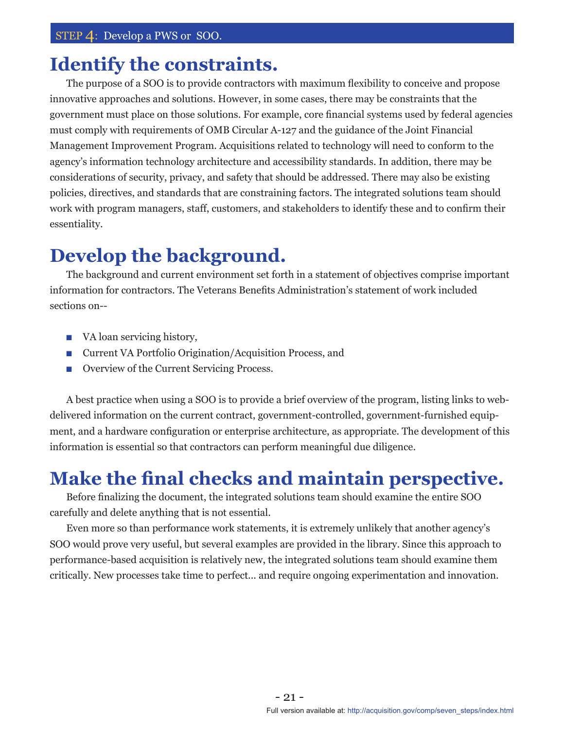### **Identify the constraints.**

The purpose of a SOO is to provide contractors with maximum flexibility to conceive and propose innovative approaches and solutions. However, in some cases, there may be constraints that the government must place on those solutions. For example, core financial systems used by federal agencies must comply with requirements of OMB Circular A-127 and the guidance of the Joint Financial Management Improvement Program. Acquisitions related to technology will need to conform to the agency's information technology architecture and accessibility standards. In addition, there may be considerations of security, privacy, and safety that should be addressed. There may also be existing policies, directives, and standards that are constraining factors. The integrated solutions team should work with program managers, staff, customers, and stakeholders to identify these and to confirm their essentiality.

# **Develop the background.**

The background and current environment set forth in a statement of objectives comprise important information for contractors. The Veterans Benefits Administration's statement of work included sections on--

- VA loan servicing history,
- Current VA Portfolio Origination/Acquisition Process, and
- Overview of the Current Servicing Process.

A best practice when using a SOO is to provide a brief overview of the program, listing links to webdelivered information on the current contract, government-controlled, government-furnished equipment, and a hardware configuration or enterprise architecture, as appropriate. The development of this information is essential so that contractors can perform meaningful due diligence.

# **Make the final checks and maintain perspective.**

Before finalizing the document, the integrated solutions team should examine the entire SOO carefully and delete anything that is not essential.

Even more so than performance work statements, it is extremely unlikely that another agency's SOO would prove very useful, but several examples are provided in the library. Since this approach to performance-based acquisition is relatively new, the integrated solutions team should examine them critically. New processes take time to perfect... and require ongoing experimentation and innovation.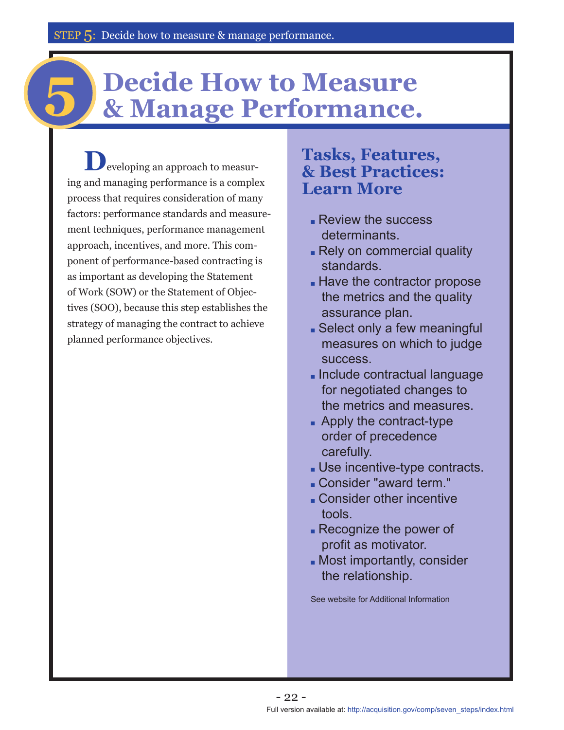# **Decide How to Measure & Manage Performance. 5**

**D**eveloping an approach to measuring and managing performance is a complex process that requires consideration of many factors: performance standards and measurement techniques, performance management approach, incentives, and more. This component of performance-based contracting is as important as developing the Statement of Work (SOW) or the Statement of Objectives (SOO), because this step establishes the strategy of managing the contract to achieve planned performance objectives.

#### **Tasks, Features, & Best Practices: Learn More**

- Review the success determinants.
- Rely on commercial quality standards.
- Have the contractor propose the metrics and the quality assurance plan.
- Select only a few meaningful measures on which to judge success.
- Include contractual language for negotiated changes to the metrics and measures.
- Apply the contract-type order of precedence carefully.
- Use incentive-type contracts.
- Consider "award term."
- Consider other incentive tools.
- Recognize the power of profit as motivator.
- Most importantly, consider the relationship.

See website for Additional Information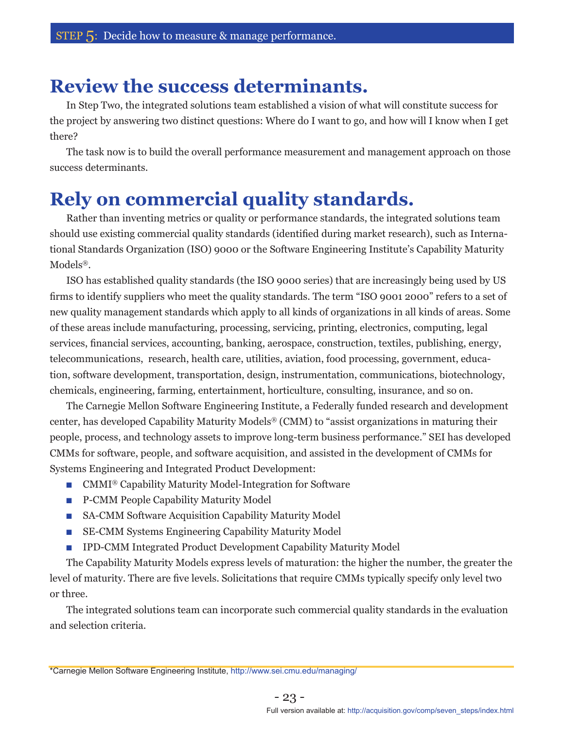### **Review the success determinants.**

In Step Two, the integrated solutions team established a vision of what will constitute success for the project by answering two distinct questions: Where do I want to go, and how will I know when I get there?

The task now is to build the overall performance measurement and management approach on those success determinants.

# **Rely on commercial quality standards.**

Rather than inventing metrics or quality or performance standards, the integrated solutions team should use existing commercial quality standards (identified during market research), such as International Standards Organization (ISO) 9000 or the Software Engineering Institute's Capability Maturity Models®.

ISO has established quality standards (the ISO 9000 series) that are increasingly being used by US firms to identify suppliers who meet the quality standards. The term "ISO 9001 2000" refers to a set of new quality management standards which apply to all kinds of organizations in all kinds of areas. Some of these areas include manufacturing, processing, servicing, printing, electronics, computing, legal services, financial services, accounting, banking, aerospace, construction, textiles, publishing, energy, telecommunications, research, health care, utilities, aviation, food processing, government, education, software development, transportation, design, instrumentation, communications, biotechnology, chemicals, engineering, farming, entertainment, horticulture, consulting, insurance, and so on.

The Carnegie Mellon Software Engineering Institute, a Federally funded research and development center, has developed Capability Maturity Models® (CMM) to "assist organizations in maturing their people, process, and technology assets to improve long-term business performance." SEI has developed CMMs for software, people, and software acquisition, and assisted in the development of CMMs for Systems Engineering and Integrated Product Development:

- CMMI<sup>®</sup> Capability Maturity Model-Integration for Software
- P-CMM People Capability Maturity Model
- SA-CMM Software Acquisition Capability Maturity Model
- SE-CMM Systems Engineering Capability Maturity Model
- IPD-CMM Integrated Product Development Capability Maturity Model

The Capability Maturity Models express levels of maturation: the higher the number, the greater the level of maturity. There are five levels. Solicitations that require CMMs typically specify only level two or three.

The integrated solutions team can incorporate such commercial quality standards in the evaluation and selection criteria.

<sup>\*</sup>Carnegie Mellon Software Engineering Institute, http://www.sei.cmu.edu/managing/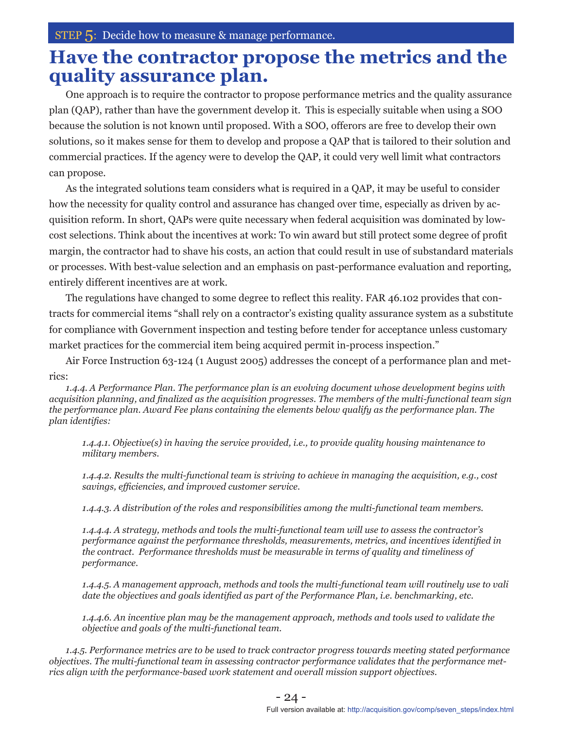### **Have the contractor propose the metrics and the quality assurance plan.**

One approach is to require the contractor to propose performance metrics and the quality assurance plan (QAP), rather than have the government develop it. This is especially suitable when using a SOO because the solution is not known until proposed. With a SOO, offerors are free to develop their own solutions, so it makes sense for them to develop and propose a QAP that is tailored to their solution and commercial practices. If the agency were to develop the QAP, it could very well limit what contractors can propose.

As the integrated solutions team considers what is required in a QAP, it may be useful to consider how the necessity for quality control and assurance has changed over time, especially as driven by acquisition reform. In short, QAPs were quite necessary when federal acquisition was dominated by lowcost selections. Think about the incentives at work: To win award but still protect some degree of profit margin, the contractor had to shave his costs, an action that could result in use of substandard materials or processes. With best-value selection and an emphasis on past-performance evaluation and reporting, entirely different incentives are at work.

The regulations have changed to some degree to reflect this reality. FAR 46.102 provides that contracts for commercial items "shall rely on a contractor's existing quality assurance system as a substitute for compliance with Government inspection and testing before tender for acceptance unless customary market practices for the commercial item being acquired permit in-process inspection."

Air Force Instruction 63-124 (1 August 2005) addresses the concept of a performance plan and metrics:

*1.4.4. A Performance Plan. The performance plan is an evolving document whose development begins with acquisition planning, and finalized as the acquisition progresses. The members of the multi-functional team sign the performance plan. Award Fee plans containing the elements below qualify as the performance plan. The plan identifies:*

*1.4.4.1. Objective(s) in having the service provided, i.e., to provide quality housing maintenance to military members.* 

 *1.4.4.2. Results the multi-functional team is striving to achieve in managing the acquisition, e.g., cost savings, efficiencies, and improved customer service.* 

 *1.4.4.3. A distribution of the roles and responsibilities among the multi-functional team members.* 

 *1.4.4.4. A strategy, methods and tools the multi-functional team will use to assess the contractor's performance against the performance thresholds, measurements, metrics, and incentives identified in the contract. Performance thresholds must be measurable in terms of quality and timeliness of performance.* 

 *1.4.4.5. A management approach, methods and tools the multi-functional team will routinely use to vali date the objectives and goals identified as part of the Performance Plan, i.e. benchmarking, etc.* 

 *1.4.4.6. An incentive plan may be the management approach, methods and tools used to validate the objective and goals of the multi-functional team.*

*1.4.5. Performance metrics are to be used to track contractor progress towards meeting stated performance objectives. The multi-functional team in assessing contractor performance validates that the performance metrics align with the performance-based work statement and overall mission support objectives.*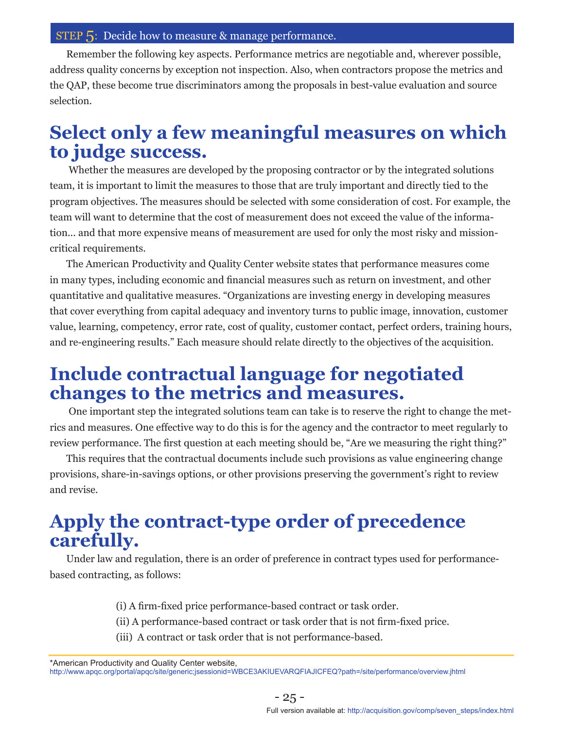#### STEP 5: Decide how to measure & manage performance.

Remember the following key aspects. Performance metrics are negotiable and, wherever possible, address quality concerns by exception not inspection. Also, when contractors propose the metrics and the QAP, these become true discriminators among the proposals in best-value evaluation and source selection.

## **Select only a few meaningful measures on which to judge success.**

 Whether the measures are developed by the proposing contractor or by the integrated solutions team, it is important to limit the measures to those that are truly important and directly tied to the program objectives. The measures should be selected with some consideration of cost. For example, the team will want to determine that the cost of measurement does not exceed the value of the information... and that more expensive means of measurement are used for only the most risky and missioncritical requirements.

The American Productivity and Quality Center website states that performance measures come in many types, including economic and financial measures such as return on investment, and other quantitative and qualitative measures. "Organizations are investing energy in developing measures that cover everything from capital adequacy and inventory turns to public image, innovation, customer value, learning, competency, error rate, cost of quality, customer contact, perfect orders, training hours, and re-engineering results." Each measure should relate directly to the objectives of the acquisition.

# **Include contractual language for negotiated changes to the metrics and measures.**

 One important step the integrated solutions team can take is to reserve the right to change the metrics and measures. One effective way to do this is for the agency and the contractor to meet regularly to review performance. The first question at each meeting should be, "Are we measuring the right thing?"

This requires that the contractual documents include such provisions as value engineering change provisions, share-in-savings options, or other provisions preserving the government's right to review and revise.

## **Apply the contract-type order of precedence carefully.**

Under law and regulation, there is an order of preference in contract types used for performancebased contracting, as follows:

- (i) A firm-fixed price performance-based contract or task order.
- (ii) A performance-based contract or task order that is not firm-fixed price.
- (iii) A contract or task order that is not performance-based.

<sup>\*</sup>American Productivity and Quality Center website,

http://www.apqc.org/portal/apqc/site/generic;jsessionid=WBCE3AKIUEVARQFIAJICFEQ?path=/site/performance/overview.jhtml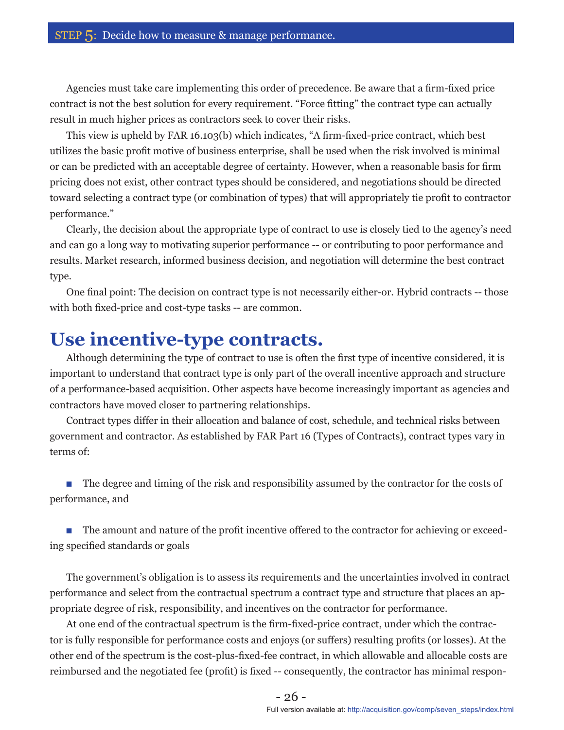Agencies must take care implementing this order of precedence. Be aware that a firm-fixed price contract is not the best solution for every requirement. "Force fitting" the contract type can actually result in much higher prices as contractors seek to cover their risks.

This view is upheld by FAR 16.103(b) which indicates, "A firm-fixed-price contract, which best utilizes the basic profit motive of business enterprise, shall be used when the risk involved is minimal or can be predicted with an acceptable degree of certainty. However, when a reasonable basis for firm pricing does not exist, other contract types should be considered, and negotiations should be directed toward selecting a contract type (or combination of types) that will appropriately tie profit to contractor performance."

Clearly, the decision about the appropriate type of contract to use is closely tied to the agency's need and can go a long way to motivating superior performance -- or contributing to poor performance and results. Market research, informed business decision, and negotiation will determine the best contract type.

One final point: The decision on contract type is not necessarily either-or. Hybrid contracts -- those with both fixed-price and cost-type tasks -- are common.

# **Use incentive-type contracts.**

Although determining the type of contract to use is often the first type of incentive considered, it is important to understand that contract type is only part of the overall incentive approach and structure of a performance-based acquisition. Other aspects have become increasingly important as agencies and contractors have moved closer to partnering relationships.

Contract types differ in their allocation and balance of cost, schedule, and technical risks between government and contractor. As established by FAR Part 16 (Types of Contracts), contract types vary in terms of:

■ The degree and timing of the risk and responsibility assumed by the contractor for the costs of performance, and

The amount and nature of the profit incentive offered to the contractor for achieving or exceeding specified standards or goals

The government's obligation is to assess its requirements and the uncertainties involved in contract performance and select from the contractual spectrum a contract type and structure that places an appropriate degree of risk, responsibility, and incentives on the contractor for performance.

At one end of the contractual spectrum is the firm-fixed-price contract, under which the contractor is fully responsible for performance costs and enjoys (or suffers) resulting profits (or losses). At the other end of the spectrum is the cost-plus-fixed-fee contract, in which allowable and allocable costs are reimbursed and the negotiated fee (profit) is fixed -- consequently, the contractor has minimal respon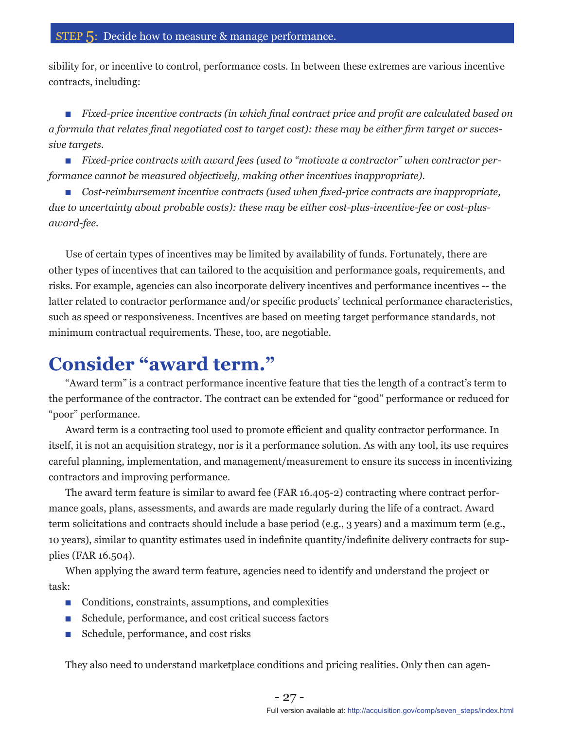sibility for, or incentive to control, performance costs. In between these extremes are various incentive contracts, including:

■ *Fixed-price incentive contracts (in which final contract price and profit are calculated based on a formula that relates final negotiated cost to target cost): these may be either firm target or successive targets.*

■ *Fixed-price contracts with award fees (used to "motivate a contractor" when contractor performance cannot be measured objectively, making other incentives inappropriate).*

■ *Cost-reimbursement incentive contracts (used when fixed-price contracts are inappropriate, due to uncertainty about probable costs): these may be either cost-plus-incentive-fee or cost-plusaward-fee.*

Use of certain types of incentives may be limited by availability of funds. Fortunately, there are other types of incentives that can tailored to the acquisition and performance goals, requirements, and risks. For example, agencies can also incorporate delivery incentives and performance incentives -- the latter related to contractor performance and/or specific products' technical performance characteristics, such as speed or responsiveness. Incentives are based on meeting target performance standards, not minimum contractual requirements. These, too, are negotiable.

# **Consider "award term."**

"Award term" is a contract performance incentive feature that ties the length of a contract's term to the performance of the contractor. The contract can be extended for "good" performance or reduced for "poor" performance.

Award term is a contracting tool used to promote efficient and quality contractor performance. In itself, it is not an acquisition strategy, nor is it a performance solution. As with any tool, its use requires careful planning, implementation, and management/measurement to ensure its success in incentivizing contractors and improving performance.

The award term feature is similar to award fee (FAR 16.405-2) contracting where contract performance goals, plans, assessments, and awards are made regularly during the life of a contract. Award term solicitations and contracts should include a base period (e.g., 3 years) and a maximum term (e.g., 10 years), similar to quantity estimates used in indefinite quantity/indefinite delivery contracts for supplies (FAR 16.504).

When applying the award term feature, agencies need to identify and understand the project or task:

- Conditions, constraints, assumptions, and complexities
- Schedule, performance, and cost critical success factors
- Schedule, performance, and cost risks

They also need to understand marketplace conditions and pricing realities. Only then can agen-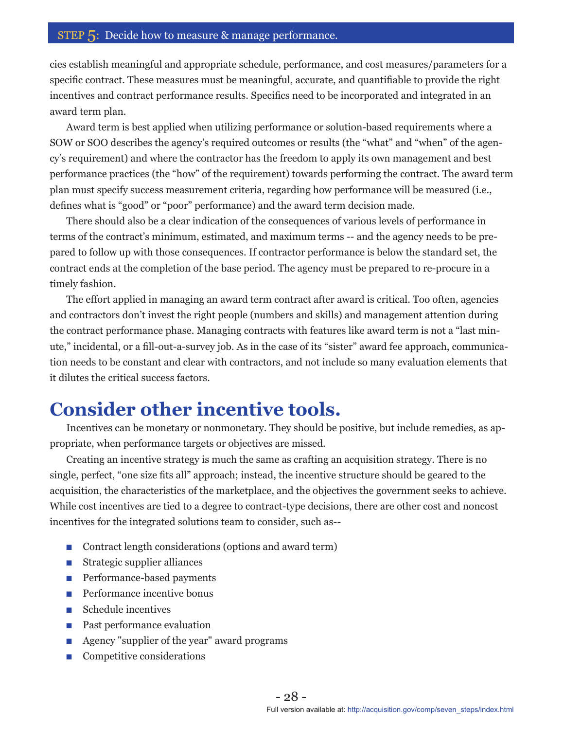#### STEP 5: Decide how to measure & manage performance.

cies establish meaningful and appropriate schedule, performance, and cost measures/parameters for a specific contract. These measures must be meaningful, accurate, and quantifiable to provide the right incentives and contract performance results. Specifics need to be incorporated and integrated in an award term plan.

Award term is best applied when utilizing performance or solution-based requirements where a SOW or SOO describes the agency's required outcomes or results (the "what" and "when" of the agency's requirement) and where the contractor has the freedom to apply its own management and best performance practices (the "how" of the requirement) towards performing the contract. The award term plan must specify success measurement criteria, regarding how performance will be measured (i.e., defines what is "good" or "poor" performance) and the award term decision made.

There should also be a clear indication of the consequences of various levels of performance in terms of the contract's minimum, estimated, and maximum terms -- and the agency needs to be prepared to follow up with those consequences. If contractor performance is below the standard set, the contract ends at the completion of the base period. The agency must be prepared to re-procure in a timely fashion.

The effort applied in managing an award term contract after award is critical. Too often, agencies and contractors don't invest the right people (numbers and skills) and management attention during the contract performance phase. Managing contracts with features like award term is not a "last minute," incidental, or a fill-out-a-survey job. As in the case of its "sister" award fee approach, communication needs to be constant and clear with contractors, and not include so many evaluation elements that it dilutes the critical success factors.

# **Consider other incentive tools.**

Incentives can be monetary or nonmonetary. They should be positive, but include remedies, as appropriate, when performance targets or objectives are missed.

Creating an incentive strategy is much the same as crafting an acquisition strategy. There is no single, perfect, "one size fits all" approach; instead, the incentive structure should be geared to the acquisition, the characteristics of the marketplace, and the objectives the government seeks to achieve. While cost incentives are tied to a degree to contract-type decisions, there are other cost and noncost incentives for the integrated solutions team to consider, such as--

- Contract length considerations (options and award term)
- Strategic supplier alliances
- Performance-based payments
- Performance incentive bonus
- Schedule incentives
- Past performance evaluation
- Agency "supplier of the year" award programs
- Competitive considerations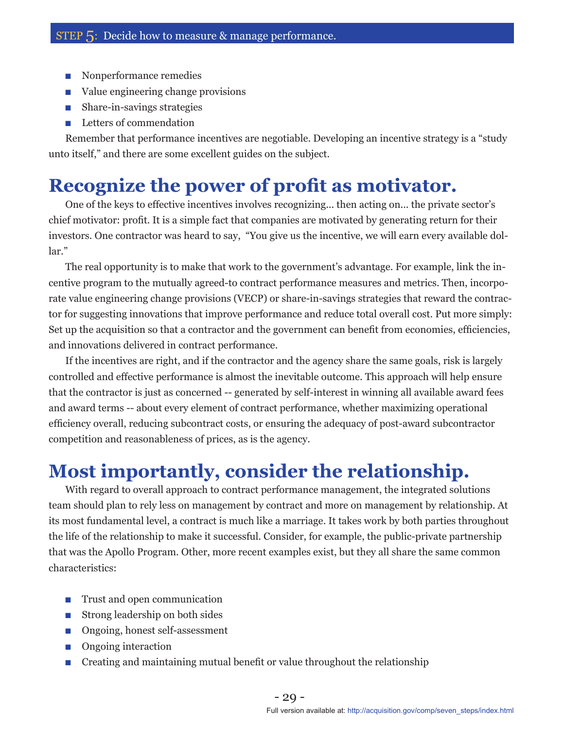- Nonperformance remedies
- Value engineering change provisions
- Share-in-savings strategies
- Letters of commendation

Remember that performance incentives are negotiable. Developing an incentive strategy is a "study unto itself," and there are some excellent guides on the subject.

# **Recognize the power of profit as motivator.**

One of the keys to effective incentives involves recognizing... then acting on... the private sector's chief motivator: profit. It is a simple fact that companies are motivated by generating return for their investors. One contractor was heard to say, "You give us the incentive, we will earn every available dollar."

The real opportunity is to make that work to the government's advantage. For example, link the incentive program to the mutually agreed-to contract performance measures and metrics. Then, incorporate value engineering change provisions (VECP) or share-in-savings strategies that reward the contractor for suggesting innovations that improve performance and reduce total overall cost. Put more simply: Set up the acquisition so that a contractor and the government can benefit from economies, efficiencies, and innovations delivered in contract performance.

If the incentives are right, and if the contractor and the agency share the same goals, risk is largely controlled and effective performance is almost the inevitable outcome. This approach will help ensure that the contractor is just as concerned -- generated by self-interest in winning all available award fees and award terms -- about every element of contract performance, whether maximizing operational efficiency overall, reducing subcontract costs, or ensuring the adequacy of post-award subcontractor competition and reasonableness of prices, as is the agency.

# **Most importantly, consider the relationship.**

With regard to overall approach to contract performance management, the integrated solutions team should plan to rely less on management by contract and more on management by relationship. At its most fundamental level, a contract is much like a marriage. It takes work by both parties throughout the life of the relationship to make it successful. Consider, for example, the public-private partnership that was the Apollo Program. Other, more recent examples exist, but they all share the same common characteristics:

- Trust and open communication
- Strong leadership on both sides
- Ongoing, honest self-assessment
- Ongoing interaction
- Creating and maintaining mutual benefit or value throughout the relationship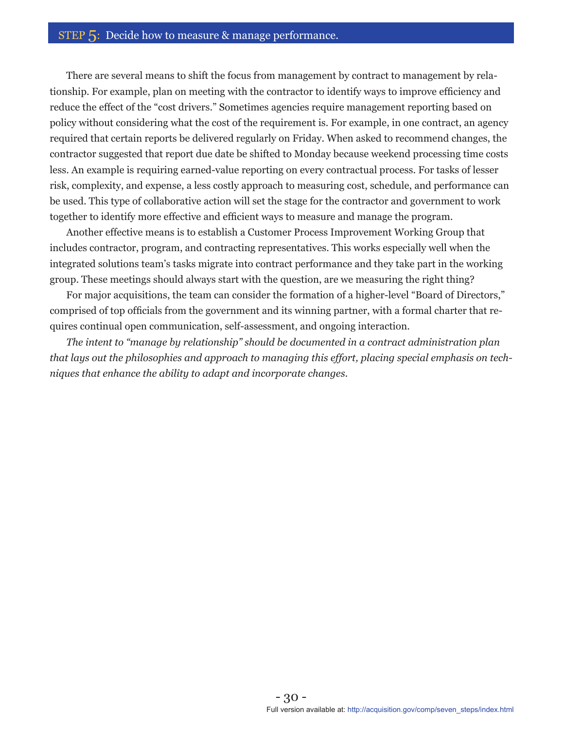There are several means to shift the focus from management by contract to management by relationship. For example, plan on meeting with the contractor to identify ways to improve efficiency and reduce the effect of the "cost drivers." Sometimes agencies require management reporting based on policy without considering what the cost of the requirement is. For example, in one contract, an agency required that certain reports be delivered regularly on Friday. When asked to recommend changes, the contractor suggested that report due date be shifted to Monday because weekend processing time costs less. An example is requiring earned-value reporting on every contractual process. For tasks of lesser risk, complexity, and expense, a less costly approach to measuring cost, schedule, and performance can be used. This type of collaborative action will set the stage for the contractor and government to work together to identify more effective and efficient ways to measure and manage the program.

Another effective means is to establish a Customer Process Improvement Working Group that includes contractor, program, and contracting representatives. This works especially well when the integrated solutions team's tasks migrate into contract performance and they take part in the working group. These meetings should always start with the question, are we measuring the right thing?

For major acquisitions, the team can consider the formation of a higher-level "Board of Directors," comprised of top officials from the government and its winning partner, with a formal charter that requires continual open communication, self-assessment, and ongoing interaction.

*The intent to "manage by relationship" should be documented in a contract administration plan that lays out the philosophies and approach to managing this effort, placing special emphasis on techniques that enhance the ability to adapt and incorporate changes.*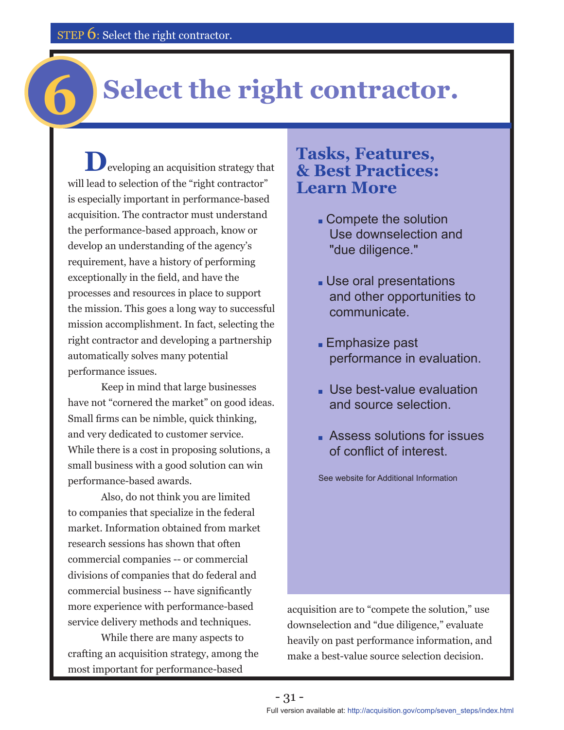**6**

# **Select the right contractor.**

**D**eveloping an acquisition strategy that will lead to selection of the "right contractor" is especially important in performance-based acquisition. The contractor must understand the performance-based approach, know or develop an understanding of the agency's requirement, have a history of performing exceptionally in the field, and have the processes and resources in place to support the mission. This goes a long way to successful mission accomplishment. In fact, selecting the right contractor and developing a partnership automatically solves many potential performance issues.

Keep in mind that large businesses have not "cornered the market" on good ideas. Small firms can be nimble, quick thinking, and very dedicated to customer service. While there is a cost in proposing solutions, a small business with a good solution can win performance-based awards.

Also, do not think you are limited to companies that specialize in the federal market. Information obtained from market research sessions has shown that often commercial companies -- or commercial divisions of companies that do federal and commercial business -- have significantly more experience with performance-based service delivery methods and techniques.

While there are many aspects to crafting an acquisition strategy, among the most important for performance-based

#### **Tasks, Features, & Best Practices: Learn More**

- Compete the solution Use downselection and "due diligence."
- Use oral presentations and other opportunities to communicate.
- Emphasize past performance in evaluation.
- Use best-value evaluation and source selection.
- Assess solutions for issues of conflict of interest.

See website for Additional Information

acquisition are to "compete the solution," use downselection and "due diligence," evaluate heavily on past performance information, and make a best-value source selection decision.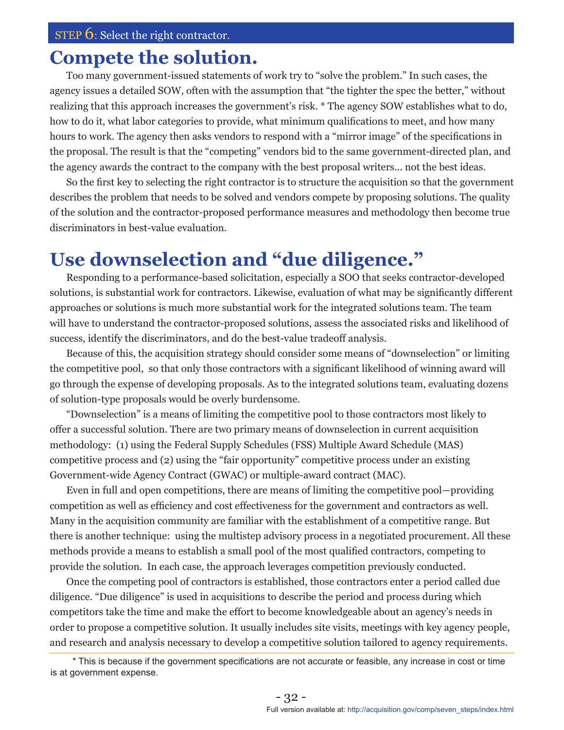## **Compete the solution.**

Too many government-issued statements of work try to "solve the problem." In such cases, the agency issues a detailed SOW, often with the assumption that "the tighter the spec the better," without realizing that this approach increases the government's risk. \* The agency SOW establishes what to do, how to do it, what labor categories to provide, what minimum qualifications to meet, and how many hours to work. The agency then asks vendors to respond with a "mirror image" of the specifications in the proposal. The result is that the "competing" vendors bid to the same government-directed plan, and the agency awards the contract to the company with the best proposal writers... not the best ideas.

So the first key to selecting the right contractor is to structure the acquisition so that the government describes the problem that needs to be solved and vendors compete by proposing solutions. The quality of the solution and the contractor-proposed performance measures and methodology then become true discriminators in best-value evaluation.

# **Use downselection and "due diligence."**

Responding to a performance-based solicitation, especially a SOO that seeks contractor-developed solutions, is substantial work for contractors. Likewise, evaluation of what may be significantly different approaches or solutions is much more substantial work for the integrated solutions team. The team will have to understand the contractor-proposed solutions, assess the associated risks and likelihood of success, identify the discriminators, and do the best-value tradeoff analysis.

Because of this, the acquisition strategy should consider some means of "downselection" or limiting the competitive pool, so that only those contractors with a significant likelihood of winning award will go through the expense of developing proposals. As to the integrated solutions team, evaluating dozens of solution-type proposals would be overly burdensome.

"Downselection" is a means of limiting the competitive pool to those contractors most likely to offer a successful solution. There are two primary means of downselection in current acquisition methodology: (1) using the Federal Supply Schedules (FSS) Multiple Award Schedule (MAS) competitive process and (2) using the "fair opportunity" competitive process under an existing Government-wide Agency Contract (GWAC) or multiple-award contract (MAC).

Even in full and open competitions, there are means of limiting the competitive pool—providing competition as well as efficiency and cost effectiveness for the government and contractors as well. Many in the acquisition community are familiar with the establishment of a competitive range. But there is another technique: using the multistep advisory process in a negotiated procurement. All these methods provide a means to establish a small pool of the most qualified contractors, competing to provide the solution. In each case, the approach leverages competition previously conducted.

Once the competing pool of contractors is established, those contractors enter a period called due diligence. "Due diligence" is used in acquisitions to describe the period and process during which competitors take the time and make the effort to become knowledgeable about an agency's needs in order to propose a competitive solution. It usually includes site visits, meetings with key agency people, and research and analysis necessary to develop a competitive solution tailored to agency requirements.

\* This is because if the government specifications are not accurate or feasible, any increase in cost or time is at government expense.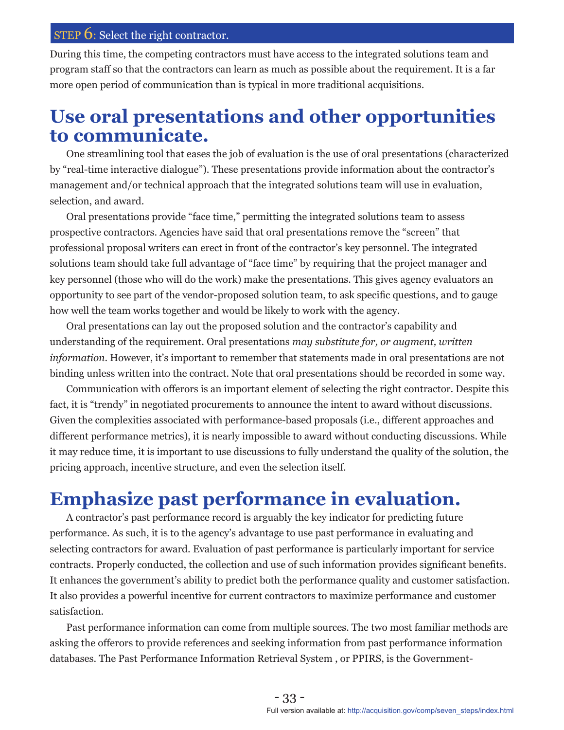During this time, the competing contractors must have access to the integrated solutions team and program staff so that the contractors can learn as much as possible about the requirement. It is a far more open period of communication than is typical in more traditional acquisitions.

#### **Use oral presentations and other opportunities to communicate.**

One streamlining tool that eases the job of evaluation is the use of oral presentations (characterized by "real-time interactive dialogue"). These presentations provide information about the contractor's management and/or technical approach that the integrated solutions team will use in evaluation, selection, and award.

Oral presentations provide "face time," permitting the integrated solutions team to assess prospective contractors. Agencies have said that oral presentations remove the "screen" that professional proposal writers can erect in front of the contractor's key personnel. The integrated solutions team should take full advantage of "face time" by requiring that the project manager and key personnel (those who will do the work) make the presentations. This gives agency evaluators an opportunity to see part of the vendor-proposed solution team, to ask specific questions, and to gauge how well the team works together and would be likely to work with the agency.

Oral presentations can lay out the proposed solution and the contractor's capability and understanding of the requirement. Oral presentations *may substitute for, or augment, written information*. However, it's important to remember that statements made in oral presentations are not binding unless written into the contract. Note that oral presentations should be recorded in some way.

Communication with offerors is an important element of selecting the right contractor. Despite this fact, it is "trendy" in negotiated procurements to announce the intent to award without discussions. Given the complexities associated with performance-based proposals (i.e., different approaches and different performance metrics), it is nearly impossible to award without conducting discussions. While it may reduce time, it is important to use discussions to fully understand the quality of the solution, the pricing approach, incentive structure, and even the selection itself.

# **Emphasize past performance in evaluation.**

A contractor's past performance record is arguably the key indicator for predicting future performance. As such, it is to the agency's advantage to use past performance in evaluating and selecting contractors for award. Evaluation of past performance is particularly important for service contracts. Properly conducted, the collection and use of such information provides significant benefits. It enhances the government's ability to predict both the performance quality and customer satisfaction. It also provides a powerful incentive for current contractors to maximize performance and customer satisfaction.

Past performance information can come from multiple sources. The two most familiar methods are asking the offerors to provide references and seeking information from past performance information databases. The Past Performance Information Retrieval System , or PPIRS, is the Government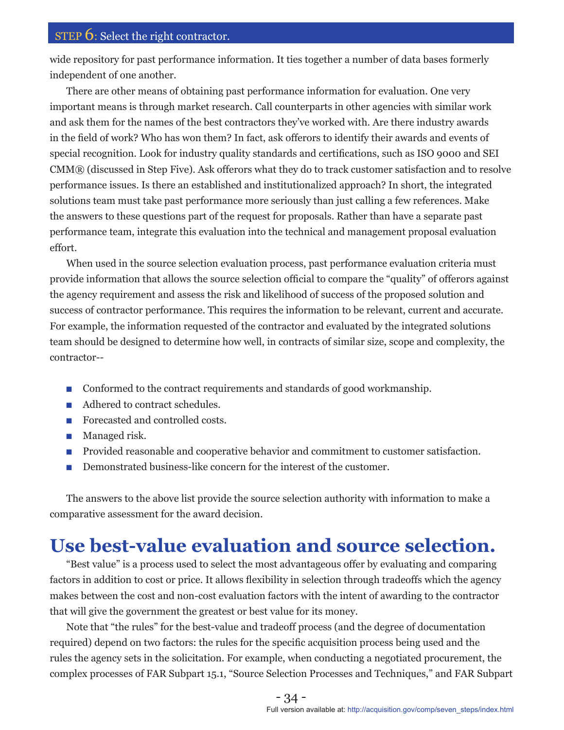wide repository for past performance information. It ties together a number of data bases formerly independent of one another.

There are other means of obtaining past performance information for evaluation. One very important means is through market research. Call counterparts in other agencies with similar work and ask them for the names of the best contractors they've worked with. Are there industry awards in the field of work? Who has won them? In fact, ask offerors to identify their awards and events of special recognition. Look for industry quality standards and certifications, such as ISO 9000 and SEI CMM® (discussed in Step Five). Ask offerors what they do to track customer satisfaction and to resolve performance issues. Is there an established and institutionalized approach? In short, the integrated solutions team must take past performance more seriously than just calling a few references. Make the answers to these questions part of the request for proposals. Rather than have a separate past performance team, integrate this evaluation into the technical and management proposal evaluation effort.

When used in the source selection evaluation process, past performance evaluation criteria must provide information that allows the source selection official to compare the "quality" of offerors against the agency requirement and assess the risk and likelihood of success of the proposed solution and success of contractor performance. This requires the information to be relevant, current and accurate. For example, the information requested of the contractor and evaluated by the integrated solutions team should be designed to determine how well, in contracts of similar size, scope and complexity, the contractor--

- Conformed to the contract requirements and standards of good workmanship.
- Adhered to contract schedules.
- Forecasted and controlled costs.
- Managed risk.
- Provided reasonable and cooperative behavior and commitment to customer satisfaction.
- Demonstrated business-like concern for the interest of the customer.

The answers to the above list provide the source selection authority with information to make a comparative assessment for the award decision.

# **Use best-value evaluation and source selection.**

"Best value" is a process used to select the most advantageous offer by evaluating and comparing factors in addition to cost or price. It allows flexibility in selection through tradeoffs which the agency makes between the cost and non-cost evaluation factors with the intent of awarding to the contractor that will give the government the greatest or best value for its money.

Note that "the rules" for the best-value and tradeoff process (and the degree of documentation required) depend on two factors: the rules for the specific acquisition process being used and the rules the agency sets in the solicitation. For example, when conducting a negotiated procurement, the complex processes of FAR Subpart 15.1, "Source Selection Processes and Techniques," and FAR Subpart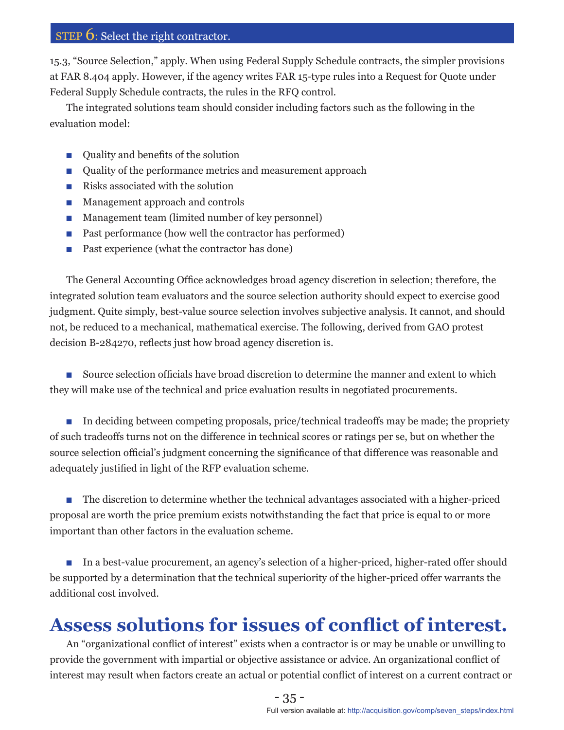#### STEP 6: Select the right contractor.

15.3, "Source Selection," apply. When using Federal Supply Schedule contracts, the simpler provisions at FAR 8.404 apply. However, if the agency writes FAR 15-type rules into a Request for Quote under Federal Supply Schedule contracts, the rules in the RFQ control.

The integrated solutions team should consider including factors such as the following in the evaluation model:

- Quality and benefits of the solution
- Quality of the performance metrics and measurement approach
- Risks associated with the solution
- Management approach and controls
- Management team (limited number of key personnel)
- Past performance (how well the contractor has performed)
- Past experience (what the contractor has done)

The General Accounting Office acknowledges broad agency discretion in selection; therefore, the integrated solution team evaluators and the source selection authority should expect to exercise good judgment. Quite simply, best-value source selection involves subjective analysis. It cannot, and should not, be reduced to a mechanical, mathematical exercise. The following, derived from GAO protest decision B-284270, reflects just how broad agency discretion is.

■ Source selection officials have broad discretion to determine the manner and extent to which they will make use of the technical and price evaluation results in negotiated procurements.

■ In deciding between competing proposals, price/technical tradeoffs may be made; the propriety of such tradeoffs turns not on the difference in technical scores or ratings per se, but on whether the source selection official's judgment concerning the significance of that difference was reasonable and adequately justified in light of the RFP evaluation scheme.

■ The discretion to determine whether the technical advantages associated with a higher-priced proposal are worth the price premium exists notwithstanding the fact that price is equal to or more important than other factors in the evaluation scheme.

■ In a best-value procurement, an agency's selection of a higher-priced, higher-rated offer should be supported by a determination that the technical superiority of the higher-priced offer warrants the additional cost involved.

# **Assess solutions for issues of conflict of interest.**

An "organizational conflict of interest" exists when a contractor is or may be unable or unwilling to provide the government with impartial or objective assistance or advice. An organizational conflict of interest may result when factors create an actual or potential conflict of interest on a current contract or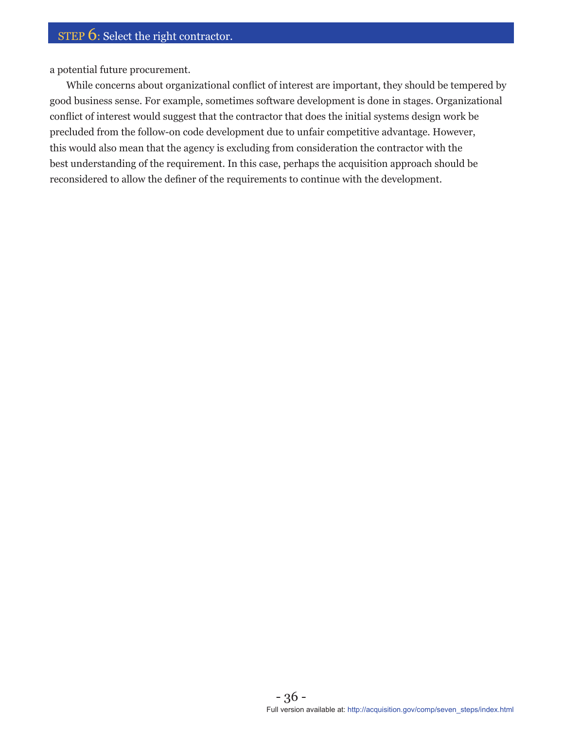a potential future procurement.

While concerns about organizational conflict of interest are important, they should be tempered by good business sense. For example, sometimes software development is done in stages. Organizational conflict of interest would suggest that the contractor that does the initial systems design work be precluded from the follow-on code development due to unfair competitive advantage. However, this would also mean that the agency is excluding from consideration the contractor with the best understanding of the requirement. In this case, perhaps the acquisition approach should be reconsidered to allow the definer of the requirements to continue with the development.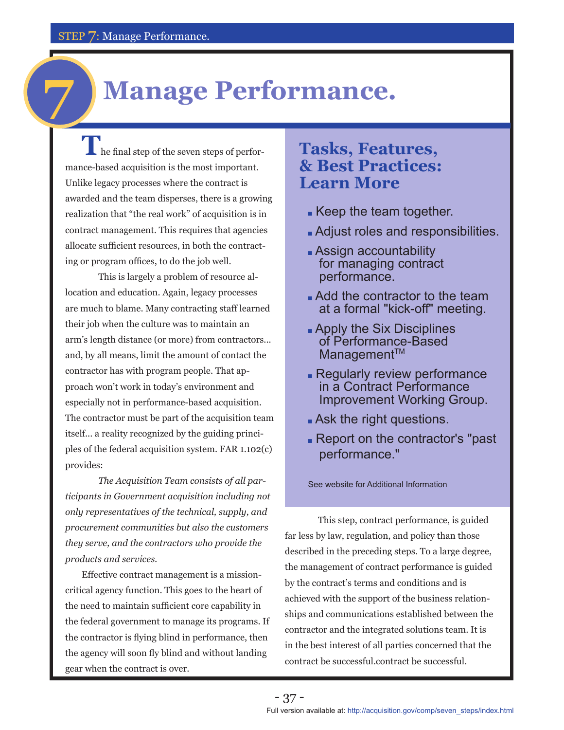**7**

# **Manage Performance.**

**T**he final step of the seven steps of performance-based acquisition is the most important. Unlike legacy processes where the contract is awarded and the team disperses, there is a growing realization that "the real work" of acquisition is in contract management. This requires that agencies allocate sufficient resources, in both the contracting or program offices, to do the job well.

This is largely a problem of resource allocation and education. Again, legacy processes are much to blame. Many contracting staff learned their job when the culture was to maintain an arm's length distance (or more) from contractors... and, by all means, limit the amount of contact the contractor has with program people. That approach won't work in today's environment and especially not in performance-based acquisition. The contractor must be part of the acquisition team itself... a reality recognized by the guiding principles of the federal acquisition system. FAR 1.102(c) provides:

*The Acquisition Team consists of all participants in Government acquisition including not only representatives of the technical, supply, and procurement communities but also the customers they serve, and the contractors who provide the products and services.*

Effective contract management is a missioncritical agency function. This goes to the heart of the need to maintain sufficient core capability in the federal government to manage its programs. If the contractor is flying blind in performance, then the agency will soon fly blind and without landing gear when the contract is over.

#### **Tasks, Features, & Best Practices: Learn More**

- Keep the team together.
- Adjust roles and responsibilities.
- Assign accountability for managing contract performance.
- Add the contractor to the team at a formal "kick-off" meeting.
- Apply the Six Disciplines of Performance-Based  $M$ anagement<sup>TM</sup>
- **Regularly review performance** in a Contract Performance Improvement Working Group.
- **Ask the right questions.**
- Report on the contractor's "past performance."

See website for Additional Information

This step, contract performance, is guided far less by law, regulation, and policy than those described in the preceding steps. To a large degree, the management of contract performance is guided by the contract's terms and conditions and is achieved with the support of the business relationships and communications established between the contractor and the integrated solutions team. It is in the best interest of all parties concerned that the contract be successful.contract be successful.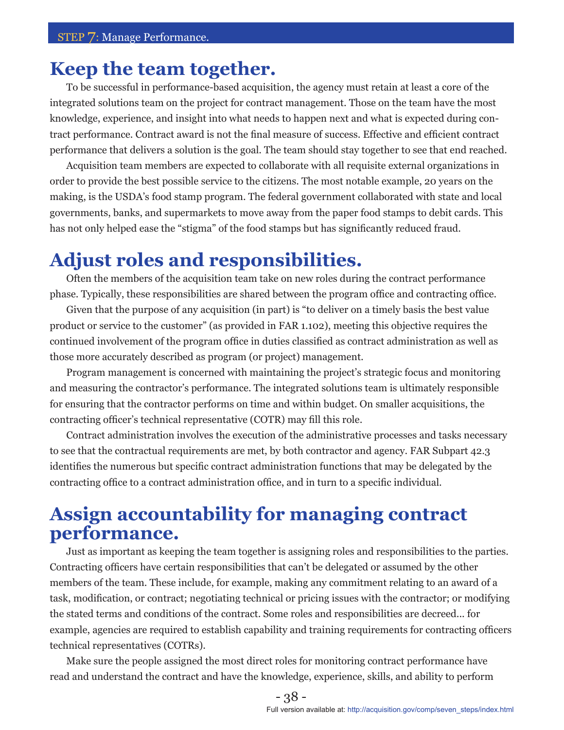#### **Keep the team together.**

To be successful in performance-based acquisition, the agency must retain at least a core of the integrated solutions team on the project for contract management. Those on the team have the most knowledge, experience, and insight into what needs to happen next and what is expected during contract performance. Contract award is not the final measure of success. Effective and efficient contract performance that delivers a solution is the goal. The team should stay together to see that end reached.

Acquisition team members are expected to collaborate with all requisite external organizations in order to provide the best possible service to the citizens. The most notable example, 20 years on the making, is the USDA's food stamp program. The federal government collaborated with state and local governments, banks, and supermarkets to move away from the paper food stamps to debit cards. This has not only helped ease the "stigma" of the food stamps but has significantly reduced fraud.

# **Adjust roles and responsibilities.**

Often the members of the acquisition team take on new roles during the contract performance phase. Typically, these responsibilities are shared between the program office and contracting office.

Given that the purpose of any acquisition (in part) is "to deliver on a timely basis the best value product or service to the customer" (as provided in FAR 1.102), meeting this objective requires the continued involvement of the program office in duties classified as contract administration as well as those more accurately described as program (or project) management.

Program management is concerned with maintaining the project's strategic focus and monitoring and measuring the contractor's performance. The integrated solutions team is ultimately responsible for ensuring that the contractor performs on time and within budget. On smaller acquisitions, the contracting officer's technical representative (COTR) may fill this role.

Contract administration involves the execution of the administrative processes and tasks necessary to see that the contractual requirements are met, by both contractor and agency. FAR Subpart 42.3 identifies the numerous but specific contract administration functions that may be delegated by the contracting office to a contract administration office, and in turn to a specific individual.

### **Assign accountability for managing contract performance.**

Just as important as keeping the team together is assigning roles and responsibilities to the parties. Contracting officers have certain responsibilities that can't be delegated or assumed by the other members of the team. These include, for example, making any commitment relating to an award of a task, modification, or contract; negotiating technical or pricing issues with the contractor; or modifying the stated terms and conditions of the contract. Some roles and responsibilities are decreed... for example, agencies are required to establish capability and training requirements for contracting officers technical representatives (COTRs).

Make sure the people assigned the most direct roles for monitoring contract performance have read and understand the contract and have the knowledge, experience, skills, and ability to perform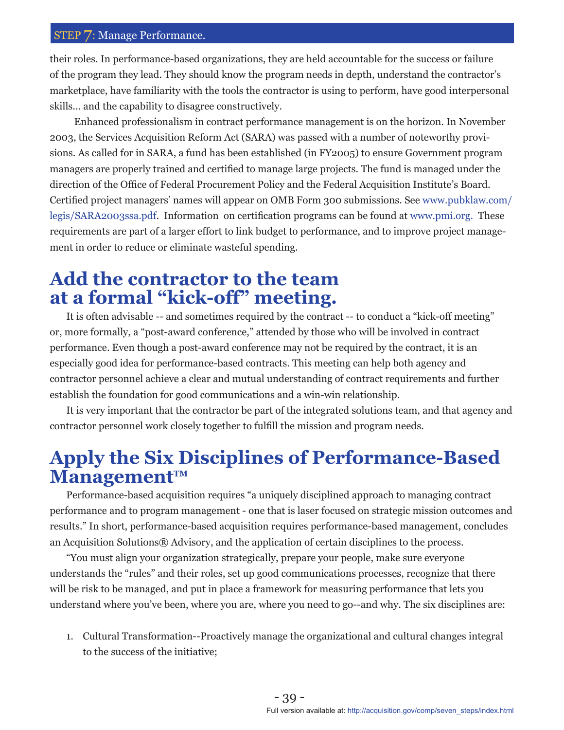their roles. In performance-based organizations, they are held accountable for the success or failure of the program they lead. They should know the program needs in depth, understand the contractor's marketplace, have familiarity with the tools the contractor is using to perform, have good interpersonal skills... and the capability to disagree constructively.

 Enhanced professionalism in contract performance management is on the horizon. In November 2003, the Services Acquisition Reform Act (SARA) was passed with a number of noteworthy provisions. As called for in SARA, a fund has been established (in FY2005) to ensure Government program managers are properly trained and certified to manage large projects. The fund is managed under the direction of the Office of Federal Procurement Policy and the Federal Acquisition Institute's Board. Certified project managers' names will appear on OMB Form 300 submissions. See www.pubklaw.com/ legis/SARA2003ssa.pdf. Information on certification programs can be found at www.pmi.org. These requirements are part of a larger effort to link budget to performance, and to improve project management in order to reduce or eliminate wasteful spending.

### **Add the contractor to the team at a formal "kick-off" meeting.**

It is often advisable -- and sometimes required by the contract -- to conduct a "kick-off meeting" or, more formally, a "post-award conference," attended by those who will be involved in contract performance. Even though a post-award conference may not be required by the contract, it is an especially good idea for performance-based contracts. This meeting can help both agency and contractor personnel achieve a clear and mutual understanding of contract requirements and further establish the foundation for good communications and a win-win relationship.

It is very important that the contractor be part of the integrated solutions team, and that agency and contractor personnel work closely together to fulfill the mission and program needs.

## **Apply the Six Disciplines of Performance-Based Management™**

Performance-based acquisition requires "a uniquely disciplined approach to managing contract performance and to program management - one that is laser focused on strategic mission outcomes and results." In short, performance-based acquisition requires performance-based management, concludes an Acquisition Solutions® Advisory, and the application of certain disciplines to the process.

"You must align your organization strategically, prepare your people, make sure everyone understands the "rules" and their roles, set up good communications processes, recognize that there will be risk to be managed, and put in place a framework for measuring performance that lets you understand where you've been, where you are, where you need to go--and why. The six disciplines are:

1. Cultural Transformation--Proactively manage the organizational and cultural changes integral to the success of the initiative;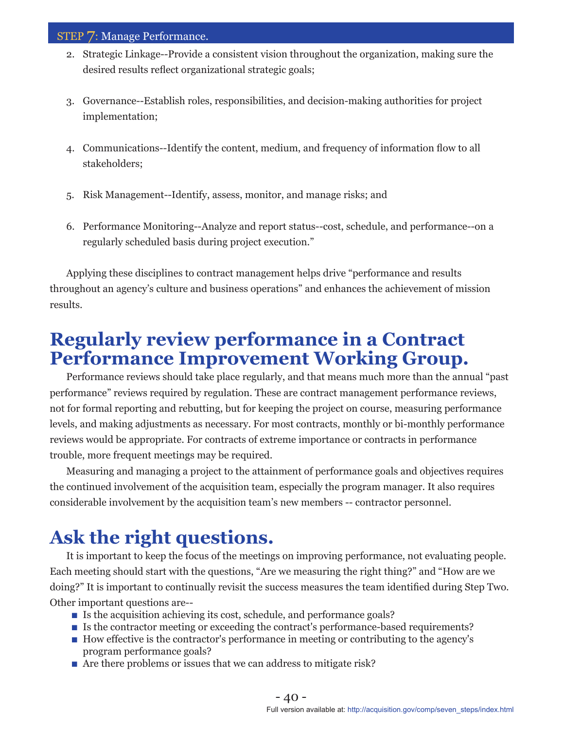- 2. Strategic Linkage--Provide a consistent vision throughout the organization, making sure the desired results reflect organizational strategic goals;
- 3. Governance--Establish roles, responsibilities, and decision-making authorities for project implementation;
- 4. Communications--Identify the content, medium, and frequency of information flow to all stakeholders;
- 5. Risk Management--Identify, assess, monitor, and manage risks; and
- 6. Performance Monitoring--Analyze and report status--cost, schedule, and performance--on a regularly scheduled basis during project execution."

Applying these disciplines to contract management helps drive "performance and results throughout an agency's culture and business operations" and enhances the achievement of mission results.

# **Regularly review performance in a Contract Performance Improvement Working Group.**

Performance reviews should take place regularly, and that means much more than the annual "past performance" reviews required by regulation. These are contract management performance reviews, not for formal reporting and rebutting, but for keeping the project on course, measuring performance levels, and making adjustments as necessary. For most contracts, monthly or bi-monthly performance reviews would be appropriate. For contracts of extreme importance or contracts in performance trouble, more frequent meetings may be required.

Measuring and managing a project to the attainment of performance goals and objectives requires the continued involvement of the acquisition team, especially the program manager. It also requires considerable involvement by the acquisition team's new members -- contractor personnel.

# **Ask the right questions.**

It is important to keep the focus of the meetings on improving performance, not evaluating people. Each meeting should start with the questions, "Are we measuring the right thing?" and "How are we doing?" It is important to continually revisit the success measures the team identified during Step Two. Other important questions are--

- Is the acquisition achieving its cost, schedule, and performance goals?
- Is the contractor meeting or exceeding the contract's performance-based requirements?
- How effective is the contractor's performance in meeting or contributing to the agency's program performance goals?
- Are there problems or issues that we can address to mitigate risk?